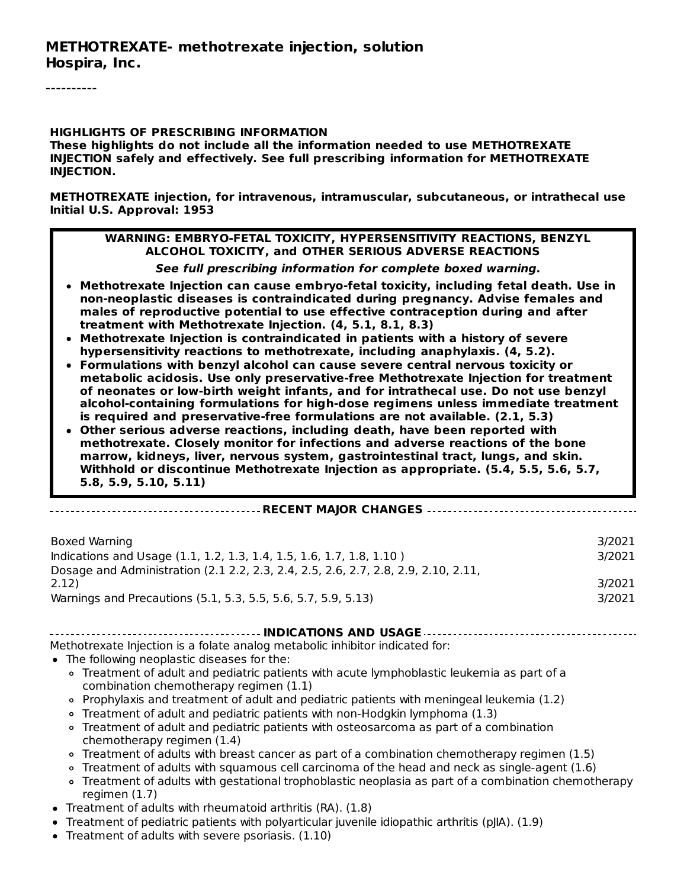----------

#### **HIGHLIGHTS OF PRESCRIBING INFORMATION These highlights do not include all the information needed to use METHOTREXATE INJECTION safely and effectively. See full prescribing information for METHOTREXATE INJECTION.**

**METHOTREXATE injection, for intravenous, intramuscular, subcutaneous, or intrathecal use Initial U.S. Approval: 1953**

#### **WARNING: EMBRYO-FETAL TOXICITY, HYPERSENSITIVITY REACTIONS, BENZYL ALCOHOL TOXICITY, and OTHER SERIOUS ADVERSE REACTIONS**

**See full prescribing information for complete boxed warning.**

- **Methotrexate Injection can cause embryo-fetal toxicity, including fetal death. Use in non-neoplastic diseases is contraindicated during pregnancy. Advise females and males of reproductive potential to use effective contraception during and after treatment with Methotrexate Injection. (4, 5.1, 8.1, 8.3)**
- **Methotrexate Injection is contraindicated in patients with a history of severe hypersensitivity reactions to methotrexate, including anaphylaxis. (4, 5.2).**
- **Formulations with benzyl alcohol can cause severe central nervous toxicity or metabolic acidosis. Use only preservative-free Methotrexate Injection for treatment of neonates or low-birth weight infants, and for intrathecal use. Do not use benzyl alcohol-containing formulations for high-dose regimens unless immediate treatment is required and preservative-free formulations are not available. (2.1, 5.3)**
- **Other serious adverse reactions, including death, have been reported with methotrexate. Closely monitor for infections and adverse reactions of the bone marrow, kidneys, liver, nervous system, gastrointestinal tract, lungs, and skin. Withhold or discontinue Methotrexate Injection as appropriate. (5.4, 5.5, 5.6, 5.7, 5.8, 5.9, 5.10, 5.11)**

#### **RECENT MAJOR CHANGES**

| Boxed Warning                                                                      | 3/2021 |
|------------------------------------------------------------------------------------|--------|
| Indications and Usage (1.1, 1.2, 1.3, 1.4, 1.5, 1.6, 1.7, 1.8, 1.10)               | 3/2021 |
| Dosage and Administration (2.1 2.2, 2.3, 2.4, 2.5, 2.6, 2.7, 2.8, 2.9, 2.10, 2.11, |        |
| 2.12)                                                                              | 3/2021 |
| Warnings and Precautions (5.1, 5.3, 5.5, 5.6, 5.7, 5.9, 5.13)                      | 3/2021 |

**INDICATIONS AND USAGE**

Methotrexate Injection is a folate analog metabolic inhibitor indicated for:

- The following neoplastic diseases for the:
	- Treatment of adult and pediatric patients with acute lymphoblastic leukemia as part of a combination chemotherapy regimen (1.1)
	- $\circ$  Prophylaxis and treatment of adult and pediatric patients with meningeal leukemia (1.2)
	- Treatment of adult and pediatric patients with non-Hodgkin lymphoma (1.3)
	- Treatment of adult and pediatric patients with osteosarcoma as part of a combination chemotherapy regimen (1.4)
	- Treatment of adults with breast cancer as part of a combination chemotherapy regimen (1.5)
	- Treatment of adults with squamous cell carcinoma of the head and neck as single-agent (1.6)
	- Treatment of adults with gestational trophoblastic neoplasia as part of a combination chemotherapy regimen (1.7)
- Treatment of adults with rheumatoid arthritis (RA). (1.8)
- Treatment of pediatric patients with polyarticular juvenile idiopathic arthritis (pJIA). (1.9)
- Treatment of adults with severe psoriasis. (1.10)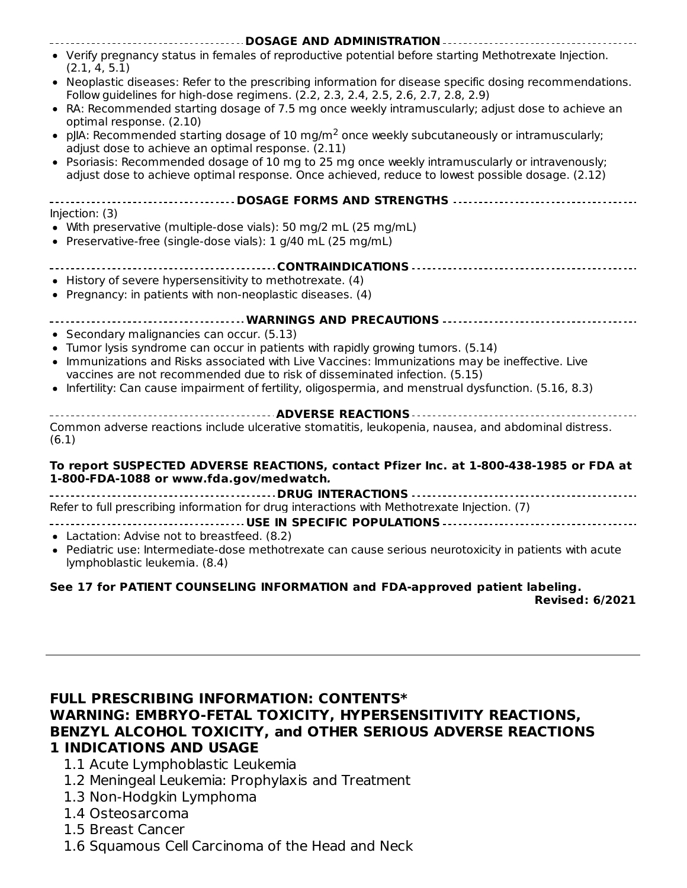| DOSAGE AND ADMINISTRATION                                                                                                                                                                           |
|-----------------------------------------------------------------------------------------------------------------------------------------------------------------------------------------------------|
| • Verify pregnancy status in females of reproductive potential before starting Methotrexate Injection.<br>(2.1, 4, 5.1)                                                                             |
| • Neoplastic diseases: Refer to the prescribing information for disease specific dosing recommendations.<br>Follow guidelines for high-dose regimens. (2.2, 2.3, 2.4, 2.5, 2.6, 2.7, 2.8, 2.9)      |
| • RA: Recommended starting dosage of 7.5 mg once weekly intramuscularly; adjust dose to achieve an<br>optimal response. (2.10)                                                                      |
| • pJIA: Recommended starting dosage of 10 mg/m <sup>2</sup> once weekly subcutaneously or intramuscularly;<br>adjust dose to achieve an optimal response. (2.11)                                    |
| • Psoriasis: Recommended dosage of 10 mg to 25 mg once weekly intramuscularly or intravenously;<br>adjust dose to achieve optimal response. Once achieved, reduce to lowest possible dosage. (2.12) |
| -------------------------- DOSAGE FORMS AND STRENGTHS ---------------------------------                                                                                                             |
| Injection: (3)<br>• With preservative (multiple-dose vials): 50 mg/2 mL (25 mg/mL)                                                                                                                  |
| • Preservative-free (single-dose vials): 1 g/40 mL (25 mg/mL)                                                                                                                                       |
|                                                                                                                                                                                                     |
| • History of severe hypersensitivity to methotrexate. (4)<br>• Pregnancy: in patients with non-neoplastic diseases. (4)                                                                             |
|                                                                                                                                                                                                     |
| • Secondary malignancies can occur. (5.13)<br>• Tumor lysis syndrome can occur in patients with rapidly growing tumors. (5.14)                                                                      |
| • Immunizations and Risks associated with Live Vaccines: Immunizations may be ineffective. Live<br>vaccines are not recommended due to risk of disseminated infection. (5.15)                       |
| • Infertility: Can cause impairment of fertility, oligospermia, and menstrual dysfunction. (5.16, 8.3)                                                                                              |
| <b> ADVERSE REACTIONS </b>                                                                                                                                                                          |
| Common adverse reactions include ulcerative stomatitis, leukopenia, nausea, and abdominal distress.<br>(6.1)                                                                                        |
| To report SUSPECTED ADVERSE REACTIONS, contact Pfizer Inc. at 1-800-438-1985 or FDA at<br>1-800-FDA-1088 or www.fda.gov/medwatch.                                                                   |
| <b> DRUG INTERACTIONS -</b>                                                                                                                                                                         |
| Refer to full prescribing information for drug interactions with Methotrexate Injection. (7)                                                                                                        |

- **USE IN SPECIFIC POPULATIONS**
- Lactation: Advise not to breastfeed. (8.2)
- Pediatric use: Intermediate-dose methotrexate can cause serious neurotoxicity in patients with acute lymphoblastic leukemia. (8.4)

### **See 17 for PATIENT COUNSELING INFORMATION and FDA-approved patient labeling.**

**Revised: 6/2021**

### **FULL PRESCRIBING INFORMATION: CONTENTS\* WARNING: EMBRYO-FETAL TOXICITY, HYPERSENSITIVITY REACTIONS, BENZYL ALCOHOL TOXICITY, and OTHER SERIOUS ADVERSE REACTIONS 1 INDICATIONS AND USAGE**

- 1.1 Acute Lymphoblastic Leukemia
- 1.2 Meningeal Leukemia: Prophylaxis and Treatment
- 1.3 Non-Hodgkin Lymphoma
- 1.4 Osteosarcoma
- 1.5 Breast Cancer
- 1.6 Squamous Cell Carcinoma of the Head and Neck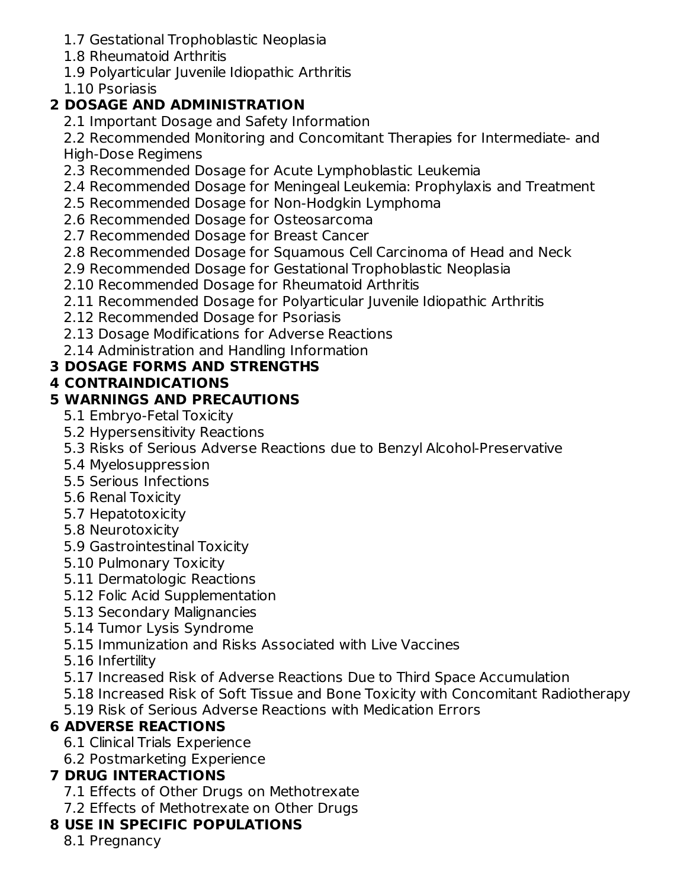- 1.7 Gestational Trophoblastic Neoplasia
- 1.8 Rheumatoid Arthritis
- 1.9 Polyarticular Juvenile Idiopathic Arthritis
- 1.10 Psoriasis

## **2 DOSAGE AND ADMINISTRATION**

2.1 Important Dosage and Safety Information

2.2 Recommended Monitoring and Concomitant Therapies for Intermediate- and High-Dose Regimens

- 2.3 Recommended Dosage for Acute Lymphoblastic Leukemia
- 2.4 Recommended Dosage for Meningeal Leukemia: Prophylaxis and Treatment
- 2.5 Recommended Dosage for Non-Hodgkin Lymphoma
- 2.6 Recommended Dosage for Osteosarcoma
- 2.7 Recommended Dosage for Breast Cancer
- 2.8 Recommended Dosage for Squamous Cell Carcinoma of Head and Neck
- 2.9 Recommended Dosage for Gestational Trophoblastic Neoplasia
- 2.10 Recommended Dosage for Rheumatoid Arthritis
- 2.11 Recommended Dosage for Polyarticular Juvenile Idiopathic Arthritis
- 2.12 Recommended Dosage for Psoriasis
- 2.13 Dosage Modifications for Adverse Reactions
- 2.14 Administration and Handling Information

## **3 DOSAGE FORMS AND STRENGTHS**

## **4 CONTRAINDICATIONS**

## **5 WARNINGS AND PRECAUTIONS**

- 5.1 Embryo-Fetal Toxicity
- 5.2 Hypersensitivity Reactions
- 5.3 Risks of Serious Adverse Reactions due to Benzyl Alcohol-Preservative
- 5.4 Myelosuppression
- 5.5 Serious Infections
- 5.6 Renal Toxicity
- 5.7 Hepatotoxicity
- 5.8 Neurotoxicity
- 5.9 Gastrointestinal Toxicity
- 5.10 Pulmonary Toxicity
- 5.11 Dermatologic Reactions
- 5.12 Folic Acid Supplementation
- 5.13 Secondary Malignancies
- 5.14 Tumor Lysis Syndrome
- 5.15 Immunization and Risks Associated with Live Vaccines
- 5.16 Infertility
- 5.17 Increased Risk of Adverse Reactions Due to Third Space Accumulation
- 5.18 Increased Risk of Soft Tissue and Bone Toxicity with Concomitant Radiotherapy
- 5.19 Risk of Serious Adverse Reactions with Medication Errors

## **6 ADVERSE REACTIONS**

- 6.1 Clinical Trials Experience
- 6.2 Postmarketing Experience

## **7 DRUG INTERACTIONS**

- 7.1 Effects of Other Drugs on Methotrexate
- 7.2 Effects of Methotrexate on Other Drugs

## **8 USE IN SPECIFIC POPULATIONS**

8.1 Pregnancy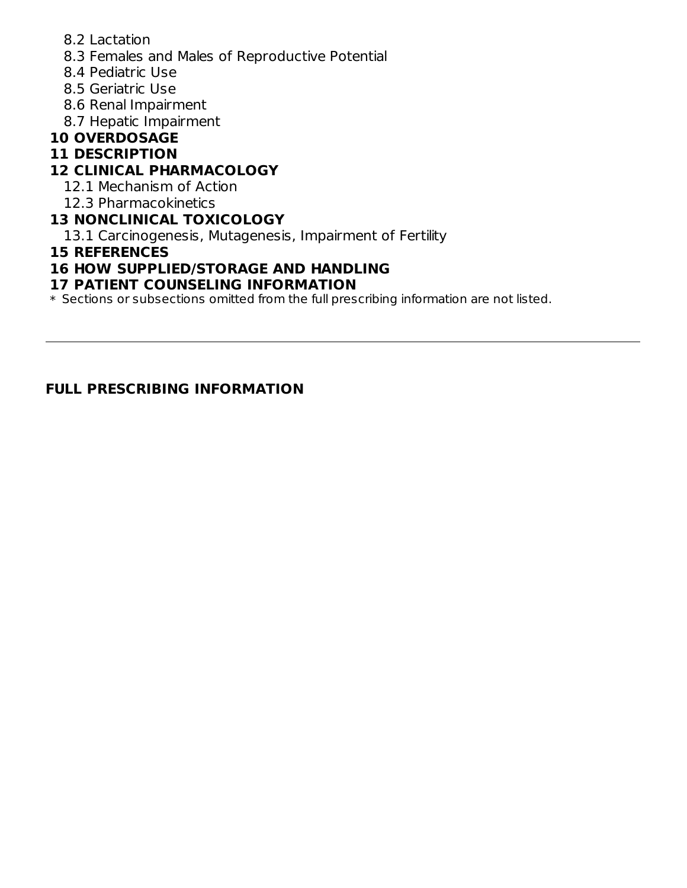- 8.2 Lactation
- 8.3 Females and Males of Reproductive Potential
- 8.4 Pediatric Use
- 8.5 Geriatric Use
- 8.6 Renal Impairment
- 8.7 Hepatic Impairment

## **10 OVERDOSAGE**

### **11 DESCRIPTION**

## **12 CLINICAL PHARMACOLOGY**

- 12.1 Mechanism of Action
- 12.3 Pharmacokinetics

### **13 NONCLINICAL TOXICOLOGY**

13.1 Carcinogenesis, Mutagenesis, Impairment of Fertility

### **15 REFERENCES**

### **16 HOW SUPPLIED/STORAGE AND HANDLING**

### **17 PATIENT COUNSELING INFORMATION**

 $\ast$  Sections or subsections omitted from the full prescribing information are not listed.

### **FULL PRESCRIBING INFORMATION**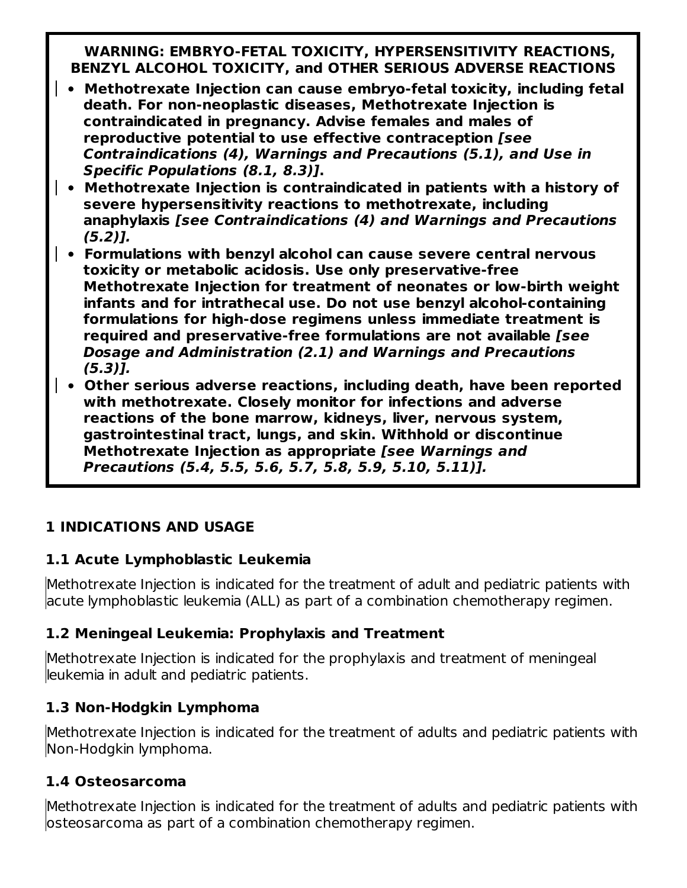**WARNING: EMBRYO-FETAL TOXICITY, HYPERSENSITIVITY REACTIONS, BENZYL ALCOHOL TOXICITY, and OTHER SERIOUS ADVERSE REACTIONS**

- **Methotrexate Injection can cause embryo-fetal toxicity, including fetal death. For non-neoplastic diseases, Methotrexate Injection is contraindicated in pregnancy. Advise females and males of reproductive potential to use effective contraception [see Contraindications (4), Warnings and Precautions (5.1), and Use in Specific Populations (8.1, 8.3)].**
- **Methotrexate Injection is contraindicated in patients with a history of severe hypersensitivity reactions to methotrexate, including anaphylaxis [see Contraindications (4) and Warnings and Precautions (5.2)].**
	- **Formulations with benzyl alcohol can cause severe central nervous toxicity or metabolic acidosis. Use only preservative-free Methotrexate Injection for treatment of neonates or low-birth weight infants and for intrathecal use. Do not use benzyl alcohol-containing formulations for high-dose regimens unless immediate treatment is required and preservative-free formulations are not available [see Dosage and Administration (2.1) and Warnings and Precautions (5.3)].**
- **Other serious adverse reactions, including death, have been reported with methotrexate. Closely monitor for infections and adverse reactions of the bone marrow, kidneys, liver, nervous system, gastrointestinal tract, lungs, and skin. Withhold or discontinue Methotrexate Injection as appropriate [see Warnings and Precautions (5.4, 5.5, 5.6, 5.7, 5.8, 5.9, 5.10, 5.11)].**

## **1 INDICATIONS AND USAGE**

## **1.1 Acute Lymphoblastic Leukemia**

Methotrexate Injection is indicated for the treatment of adult and pediatric patients with acute lymphoblastic leukemia (ALL) as part of a combination chemotherapy regimen.

## **1.2 Meningeal Leukemia: Prophylaxis and Treatment**

Methotrexate Injection is indicated for the prophylaxis and treatment of meningeal leukemia in adult and pediatric patients.

## **1.3 Non-Hodgkin Lymphoma**

Methotrexate Injection is indicated for the treatment of adults and pediatric patients with Non-Hodgkin lymphoma.

## **1.4 Osteosarcoma**

Methotrexate Injection is indicated for the treatment of adults and pediatric patients with osteosarcoma as part of a combination chemotherapy regimen.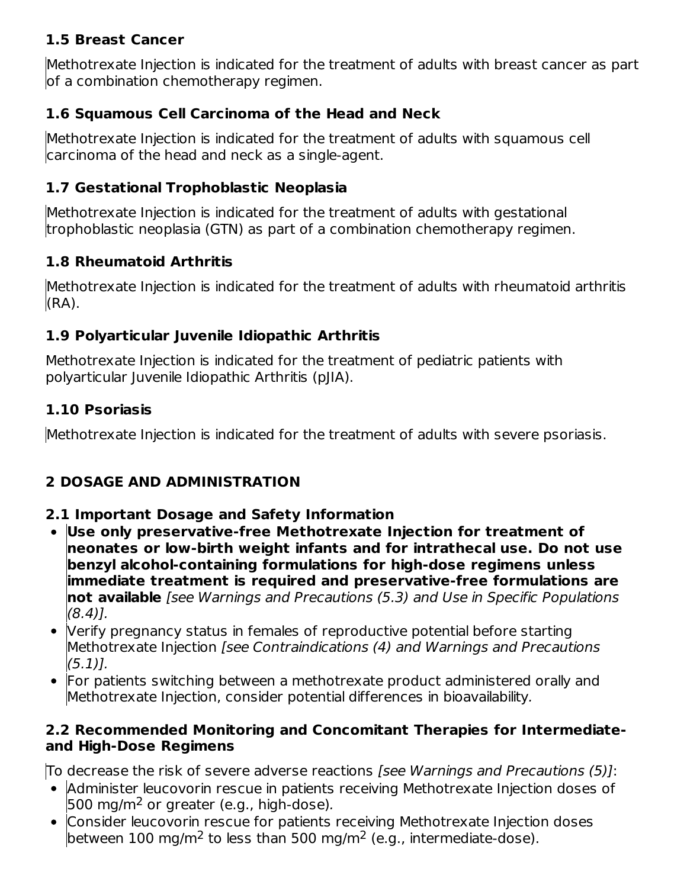## **1.5 Breast Cancer**

Methotrexate Injection is indicated for the treatment of adults with breast cancer as part of a combination chemotherapy regimen.

## **1.6 Squamous Cell Carcinoma of the Head and Neck**

Methotrexate Injection is indicated for the treatment of adults with squamous cell carcinoma of the head and neck as a single-agent.

### **1.7 Gestational Trophoblastic Neoplasia**

Methotrexate Injection is indicated for the treatment of adults with gestational trophoblastic neoplasia (GTN) as part of a combination chemotherapy regimen.

### **1.8 Rheumatoid Arthritis**

Methotrexate Injection is indicated for the treatment of adults with rheumatoid arthritis (RA).

## **1.9 Polyarticular Juvenile Idiopathic Arthritis**

Methotrexate Injection is indicated for the treatment of pediatric patients with polyarticular Juvenile Idiopathic Arthritis (pJIA).

### **1.10 Psoriasis**

Methotrexate Injection is indicated for the treatment of adults with severe psoriasis.

## **2 DOSAGE AND ADMINISTRATION**

### **2.1 Important Dosage and Safety Information**

- **Use only preservative-free Methotrexate Injection for treatment of neonates or low-birth weight infants and for intrathecal use. Do not use benzyl alcohol-containing formulations for high-dose regimens unless immediate treatment is required and preservative-free formulations are not available** [see Warnings and Precautions (5.3) and Use in Specific Populations  $(8.4)$ ].
- Verify pregnancy status in females of reproductive potential before starting  $\bullet$ Methotrexate Injection [see Contraindications (4) and Warnings and Precautions  $(5.1)$ .
- For patients switching between a methotrexate product administered orally and Methotrexate Injection, consider potential differences in bioavailability.

### **2.2 Recommended Monitoring and Concomitant Therapies for Intermediateand High-Dose Regimens**

To decrease the risk of severe adverse reactions [see Warnings and Precautions (5)]:

- Administer leucovorin rescue in patients receiving Methotrexate Injection doses of  $500$  mg/m<sup>2</sup> or greater (e.g., high-dose).
- Consider leucovorin rescue for patients receiving Methotrexate Injection doses between 100 mg/m<sup>2</sup> to less than 500 mg/m<sup>2</sup> (e.g., intermediate-dose).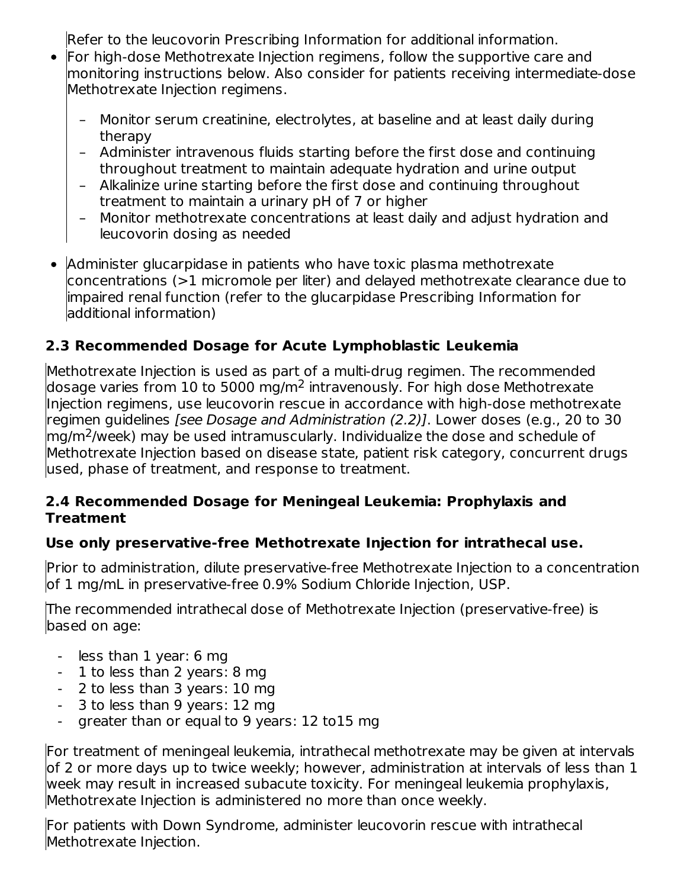Refer to the leucovorin Prescribing Information for additional information.

- For high-dose Methotrexate Injection regimens, follow the supportive care and monitoring instructions below. Also consider for patients receiving intermediate-dose Methotrexate Injection regimens.
	- Monitor serum creatinine, electrolytes, at baseline and at least daily during therapy
	- Administer intravenous fluids starting before the first dose and continuing throughout treatment to maintain adequate hydration and urine output
	- Alkalinize urine starting before the first dose and continuing throughout treatment to maintain a urinary pH of 7 or higher
	- Monitor methotrexate concentrations at least daily and adjust hydration and leucovorin dosing as needed
- $\bullet$ Administer glucarpidase in patients who have toxic plasma methotrexate concentrations (>1 micromole per liter) and delayed methotrexate clearance due to impaired renal function (refer to the glucarpidase Prescribing Information for additional information)

## **2.3 Recommended Dosage for Acute Lymphoblastic Leukemia**

Methotrexate Injection is used as part of a multi-drug regimen. The recommended dosage varies from 10 to 5000 mg/m<sup>2</sup> intravenously. For high dose Methotrexate Injection regimens, use leucovorin rescue in accordance with high-dose methotrexate regimen guidelines [see Dosage and Administration (2.2)]. Lower doses (e.g., 20 to 30  $\rm{mg/m^2/}$ week) may be used intramuscularly. Individualize the dose and schedule of Methotrexate Injection based on disease state, patient risk category, concurrent drugs used, phase of treatment, and response to treatment.

### **2.4 Recommended Dosage for Meningeal Leukemia: Prophylaxis and Treatment**

## **Use only preservative-free Methotrexate Injection for intrathecal use.**

Prior to administration, dilute preservative-free Methotrexate Injection to a concentration of 1 mg/mL in preservative-free 0.9% Sodium Chloride Injection, USP.

The recommended intrathecal dose of Methotrexate Injection (preservative-free) is based on age:

- less than 1 year: 6 mg
- 1 to less than 2 years: 8 mg
- 2 to less than 3 years: 10 mg
- 3 to less than 9 years: 12 mg
- greater than or equal to 9 years: 12 to15 mg

For treatment of meningeal leukemia, intrathecal methotrexate may be given at intervals of 2 or more days up to twice weekly; however, administration at intervals of less than 1 week may result in increased subacute toxicity. For meningeal leukemia prophylaxis, Methotrexate Injection is administered no more than once weekly.

For patients with Down Syndrome, administer leucovorin rescue with intrathecal Methotrexate Injection.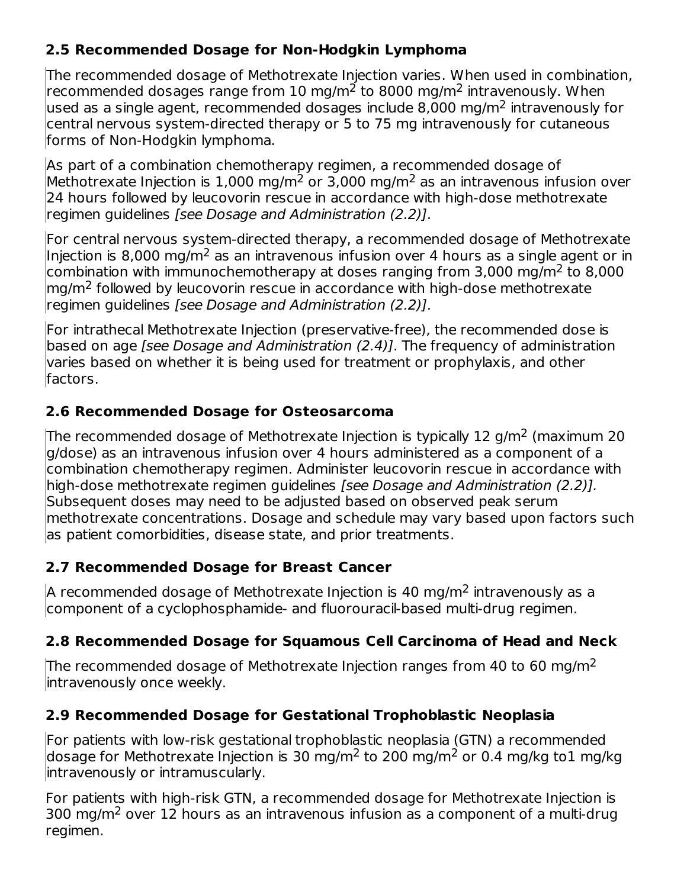## **2.5 Recommended Dosage for Non-Hodgkin Lymphoma**

The recommended dosage of Methotrexate Injection varies. When used in combination, recommended dosages range from 10 mg/m<sup>2</sup> to 8000 mg/m<sup>2</sup> intravenously. When used as a single agent, recommended dosages include 8,000 mg/m<sup>2</sup> intravenously for central nervous system-directed therapy or 5 to 75 mg intravenously for cutaneous forms of Non-Hodgkin lymphoma.

As part of a combination chemotherapy regimen, a recommended dosage of Methotrexate Injection is  $1,000$  mg/m<sup>2</sup> or 3,000 mg/m<sup>2</sup> as an intravenous infusion over 24 hours followed by leucovorin rescue in accordance with high-dose methotrexate regimen guidelines [see Dosage and Administration (2.2)].

For central nervous system-directed therapy, a recommended dosage of Methotrexate Injection is 8,000 mg/m<sup>2</sup> as an intravenous infusion over 4 hours as a single agent or in combination with immunochemotherapy at doses ranging from 3,000 mg/m<sup>2</sup> to 8,000  $mg/m<sup>2</sup>$  followed by leucovorin rescue in accordance with high-dose methotrexate regimen guidelines [see Dosage and Administration (2.2)].

For intrathecal Methotrexate Injection (preservative-free), the recommended dose is based on age *[see Dosage and Administration (2.4)]*. The frequency of administration varies based on whether it is being used for treatment or prophylaxis, and other factors.

## **2.6 Recommended Dosage for Osteosarcoma**

The recommended dosage of Methotrexate Injection is typically 12 g/m<sup>2</sup> (maximum 20 g/dose) as an intravenous infusion over 4 hours administered as a component of a combination chemotherapy regimen. Administer leucovorin rescue in accordance with high-dose methotrexate regimen guidelines [see Dosage and Administration (2.2)]. Subsequent doses may need to be adjusted based on observed peak serum methotrexate concentrations. Dosage and schedule may vary based upon factors such as patient comorbidities, disease state, and prior treatments.

## **2.7 Recommended Dosage for Breast Cancer**

A recommended dosage of Methotrexate Injection is 40 mg/m<sup>2</sup> intravenously as a component of a cyclophosphamide- and fluorouracil-based multi-drug regimen.

## **2.8 Recommended Dosage for Squamous Cell Carcinoma of Head and Neck**

The recommended dosage of Methotrexate Injection ranges from 40 to 60 mg/m<sup>2</sup> intravenously once weekly.

## **2.9 Recommended Dosage for Gestational Trophoblastic Neoplasia**

For patients with low-risk gestational trophoblastic neoplasia (GTN) a recommended dosage for Methotrexate Injection is 30 mg/m<sup>2</sup> to 200 mg/m<sup>2</sup> or 0.4 mg/kg to1 mg/kg intravenously or intramuscularly.

For patients with high-risk GTN, a recommended dosage for Methotrexate Injection is 300 mg/m<sup>2</sup> over 12 hours as an intravenous infusion as a component of a multi-drug regimen.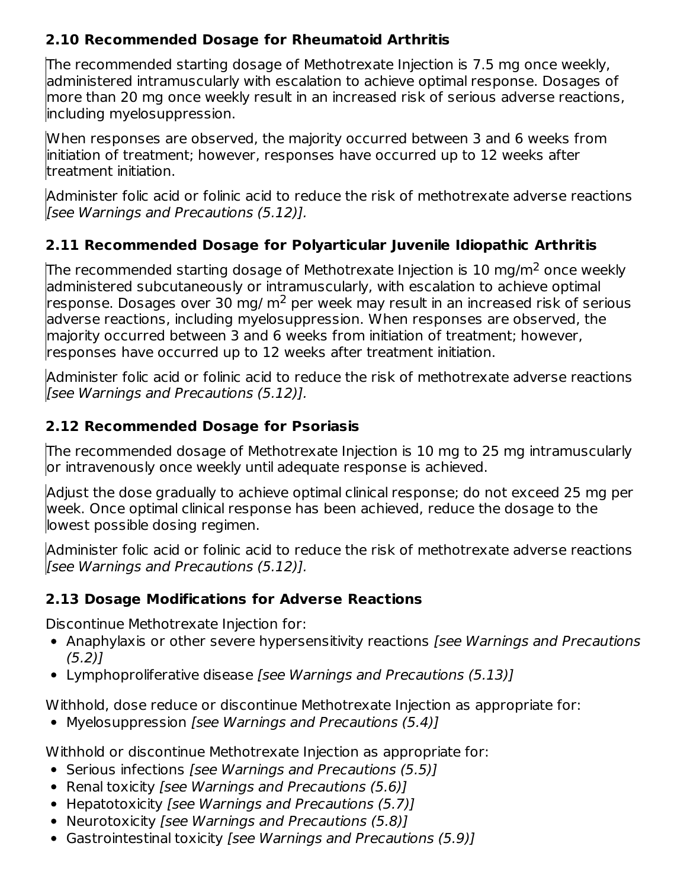## **2.10 Recommended Dosage for Rheumatoid Arthritis**

The recommended starting dosage of Methotrexate Injection is 7.5 mg once weekly, administered intramuscularly with escalation to achieve optimal response. Dosages of more than 20 mg once weekly result in an increased risk of serious adverse reactions, including myelosuppression.

When responses are observed, the majority occurred between 3 and 6 weeks from initiation of treatment; however, responses have occurred up to 12 weeks after treatment initiation.

Administer folic acid or folinic acid to reduce the risk of methotrexate adverse reactions [see Warnings and Precautions (5.12)].

## **2.11 Recommended Dosage for Polyarticular Juvenile Idiopathic Arthritis**

The recommended starting dosage of Methotrexate Injection is 10 mg/m<sup>2</sup> once weekly administered subcutaneously or intramuscularly, with escalation to achieve optimal response. Dosages over 30 mg/  $m<sup>2</sup>$  per week may result in an increased risk of serious adverse reactions, including myelosuppression. When responses are observed, the majority occurred between 3 and 6 weeks from initiation of treatment; however, responses have occurred up to 12 weeks after treatment initiation.

Administer folic acid or folinic acid to reduce the risk of methotrexate adverse reactions [see Warnings and Precautions (5.12)].

## **2.12 Recommended Dosage for Psoriasis**

The recommended dosage of Methotrexate Injection is 10 mg to 25 mg intramuscularly or intravenously once weekly until adequate response is achieved.

Adjust the dose gradually to achieve optimal clinical response; do not exceed 25 mg per week. Once optimal clinical response has been achieved, reduce the dosage to the lowest possible dosing regimen.

Administer folic acid or folinic acid to reduce the risk of methotrexate adverse reactions [see Warnings and Precautions (5.12)].

## **2.13 Dosage Modifications for Adverse Reactions**

Discontinue Methotrexate Injection for:

- Anaphylaxis or other severe hypersensitivity reactions [see Warnings and Precautions (5.2)]
- Lymphoproliferative disease [see Warnings and Precautions (5.13)]

Withhold, dose reduce or discontinue Methotrexate Injection as appropriate for:

• Myelosuppression [see Warnings and Precautions (5.4)]

Withhold or discontinue Methotrexate Injection as appropriate for:

- Serious infections [see Warnings and Precautions (5.5)]
- Renal toxicity *[see Warnings and Precautions (5.6)]*
- Hepatotoxicity [see Warnings and Precautions (5.7)]
- Neurotoxicity [see Warnings and Precautions (5.8)]
- Gastrointestinal toxicity [see Warnings and Precautions (5.9)]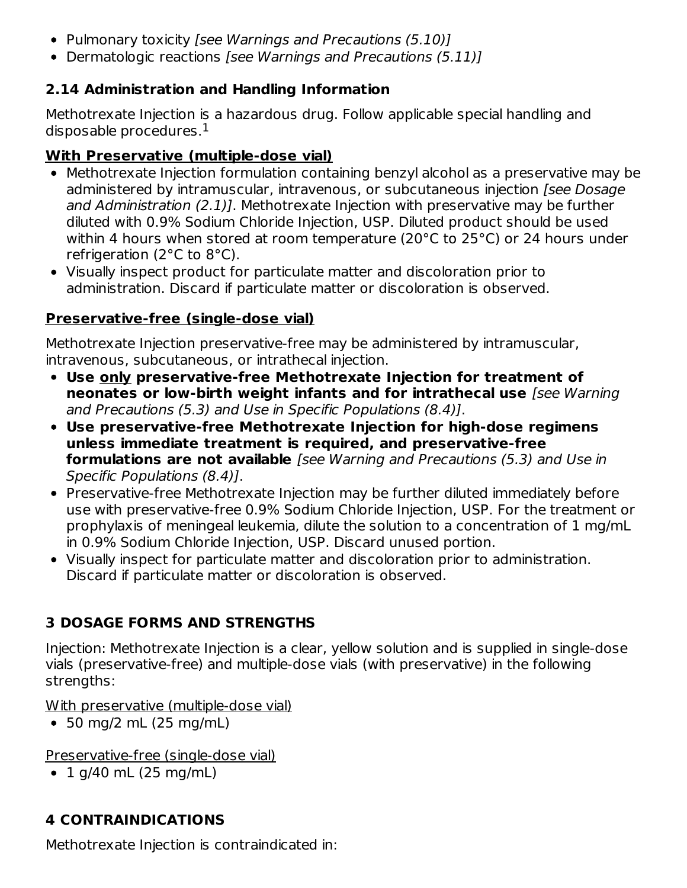- Pulmonary toxicity [see Warnings and Precautions (5.10)]
- Dermatologic reactions [see Warnings and Precautions (5.11)]

## **2.14 Administration and Handling Information**

Methotrexate Injection is a hazardous drug. Follow applicable special handling and disposable procedures. $^{\rm 1}$ 

## **With Preservative (multiple-dose vial)**

- Methotrexate Injection formulation containing benzyl alcohol as a preservative may be administered by intramuscular, intravenous, or subcutaneous injection [see Dosage and Administration (2.1)]. Methotrexate Injection with preservative may be further diluted with 0.9% Sodium Chloride Injection, USP. Diluted product should be used within 4 hours when stored at room temperature (20°C to 25°C) or 24 hours under refrigeration (2°C to 8°C).
- Visually inspect product for particulate matter and discoloration prior to administration. Discard if particulate matter or discoloration is observed.

## **Preservative-free (single-dose vial)**

Methotrexate Injection preservative-free may be administered by intramuscular, intravenous, subcutaneous, or intrathecal injection.

- **Use only preservative-free Methotrexate Injection for treatment of neonates or low-birth weight infants and for intrathecal use** [see Warning and Precautions (5.3) and Use in Specific Populations (8.4)].
- **Use preservative-free Methotrexate Injection for high-dose regimens unless immediate treatment is required, and preservative-free formulations are not available** [see Warning and Precautions (5.3) and Use in Specific Populations (8.4)].
- Preservative-free Methotrexate Injection may be further diluted immediately before use with preservative-free 0.9% Sodium Chloride Injection, USP. For the treatment or prophylaxis of meningeal leukemia, dilute the solution to a concentration of 1 mg/mL in 0.9% Sodium Chloride Injection, USP. Discard unused portion.
- Visually inspect for particulate matter and discoloration prior to administration. Discard if particulate matter or discoloration is observed.

## **3 DOSAGE FORMS AND STRENGTHS**

Injection: Methotrexate Injection is a clear, yellow solution and is supplied in single-dose vials (preservative-free) and multiple-dose vials (with preservative) in the following strengths:

With preservative (multiple-dose vial)

50 mg/2 mL (25 mg/mL)

Preservative-free (single-dose vial)

 $\cdot$  1 g/40 mL (25 mg/mL)

# **4 CONTRAINDICATIONS**

Methotrexate Injection is contraindicated in: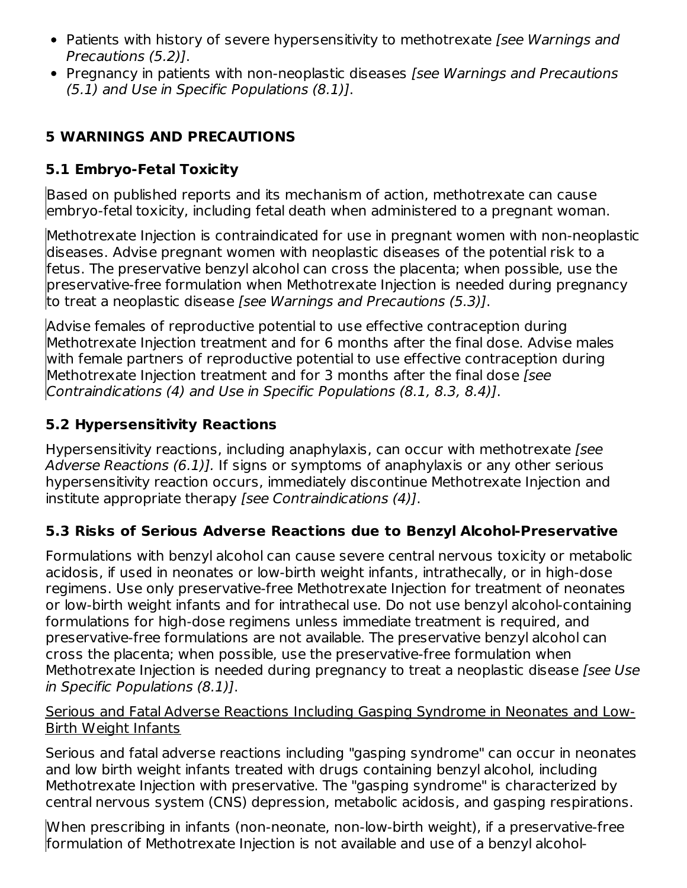- Patients with history of severe hypersensitivity to methotrexate [see Warnings and Precautions (5.2)].
- Pregnancy in patients with non-neoplastic diseases *[see Warnings and Precautions* (5.1) and Use in Specific Populations (8.1)].

## **5 WARNINGS AND PRECAUTIONS**

## **5.1 Embryo-Fetal Toxicity**

Based on published reports and its mechanism of action, methotrexate can cause embryo-fetal toxicity, including fetal death when administered to a pregnant woman.

Methotrexate Injection is contraindicated for use in pregnant women with non-neoplastic diseases. Advise pregnant women with neoplastic diseases of the potential risk to a fetus. The preservative benzyl alcohol can cross the placenta; when possible, use the preservative-free formulation when Methotrexate Injection is needed during pregnancy to treat a neoplastic disease [see Warnings and Precautions (5.3)].

Advise females of reproductive potential to use effective contraception during Methotrexate Injection treatment and for 6 months after the final dose. Advise males with female partners of reproductive potential to use effective contraception during Methotrexate Injection treatment and for 3 months after the final dose *[see*] Contraindications (4) and Use in Specific Populations (8.1, 8.3, 8.4)].

## **5.2 Hypersensitivity Reactions**

Hypersensitivity reactions, including anaphylaxis, can occur with methotrexate [see Adverse Reactions (6.1)]. If signs or symptoms of anaphylaxis or any other serious hypersensitivity reaction occurs, immediately discontinue Methotrexate Injection and institute appropriate therapy [see Contraindications (4)].

## **5.3 Risks of Serious Adverse Reactions due to Benzyl Alcohol-Preservative**

Formulations with benzyl alcohol can cause severe central nervous toxicity or metabolic acidosis, if used in neonates or low-birth weight infants, intrathecally, or in high-dose regimens. Use only preservative-free Methotrexate Injection for treatment of neonates or low-birth weight infants and for intrathecal use. Do not use benzyl alcohol-containing formulations for high-dose regimens unless immediate treatment is required, and preservative-free formulations are not available. The preservative benzyl alcohol can cross the placenta; when possible, use the preservative-free formulation when Methotrexate Injection is needed during pregnancy to treat a neoplastic disease [see Use in Specific Populations (8.1)].

### Serious and Fatal Adverse Reactions Including Gasping Syndrome in Neonates and Low-Birth Weight Infants

Serious and fatal adverse reactions including "gasping syndrome" can occur in neonates and low birth weight infants treated with drugs containing benzyl alcohol, including Methotrexate Injection with preservative. The "gasping syndrome" is characterized by central nervous system (CNS) depression, metabolic acidosis, and gasping respirations.

When prescribing in infants (non-neonate, non-low-birth weight), if a preservative-free formulation of Methotrexate Injection is not available and use of a benzyl alcohol-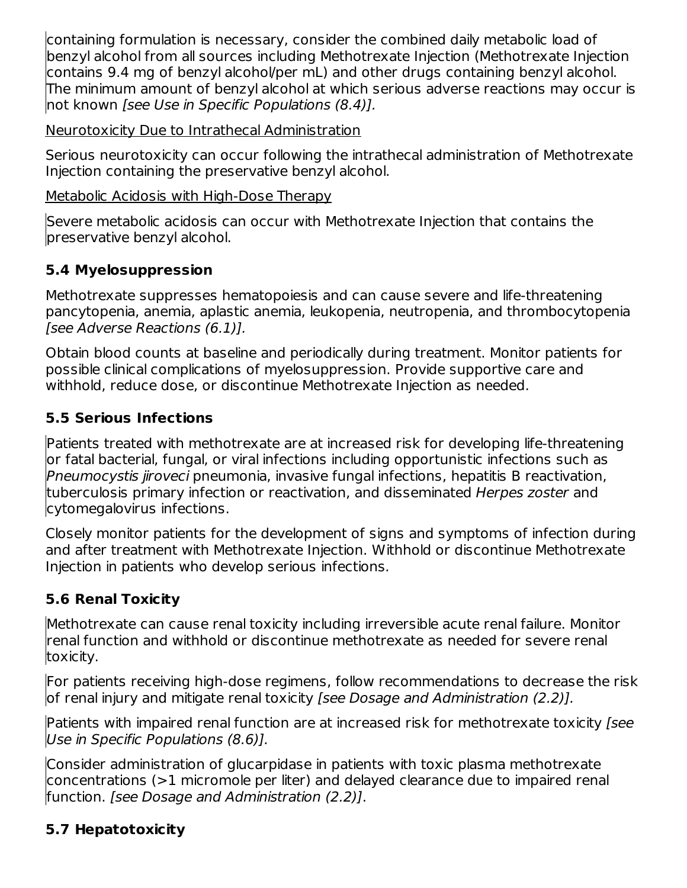containing formulation is necessary, consider the combined daily metabolic load of benzyl alcohol from all sources including Methotrexate Injection (Methotrexate Injection contains 9.4 mg of benzyl alcohol/per mL) and other drugs containing benzyl alcohol. The minimum amount of benzyl alcohol at which serious adverse reactions may occur is not known [see Use in Specific Populations (8.4)].

Neurotoxicity Due to Intrathecal Administration

Serious neurotoxicity can occur following the intrathecal administration of Methotrexate Injection containing the preservative benzyl alcohol.

Metabolic Acidosis with High-Dose Therapy

Severe metabolic acidosis can occur with Methotrexate Injection that contains the preservative benzyl alcohol.

# **5.4 Myelosuppression**

Methotrexate suppresses hematopoiesis and can cause severe and life-threatening pancytopenia, anemia, aplastic anemia, leukopenia, neutropenia, and thrombocytopenia [see Adverse Reactions (6.1)].

Obtain blood counts at baseline and periodically during treatment. Monitor patients for possible clinical complications of myelosuppression. Provide supportive care and withhold, reduce dose, or discontinue Methotrexate Injection as needed.

## **5.5 Serious Infections**

Patients treated with methotrexate are at increased risk for developing life-threatening or fatal bacterial, fungal, or viral infections including opportunistic infections such as Pneumocystis jiroveci pneumonia, invasive fungal infections, hepatitis B reactivation, tuberculosis primary infection or reactivation, and disseminated Herpes zoster and cytomegalovirus infections.

Closely monitor patients for the development of signs and symptoms of infection during and after treatment with Methotrexate Injection. Withhold or discontinue Methotrexate Injection in patients who develop serious infections.

# **5.6 Renal Toxicity**

Methotrexate can cause renal toxicity including irreversible acute renal failure. Monitor renal function and withhold or discontinue methotrexate as needed for severe renal toxicity.

For patients receiving high-dose regimens, follow recommendations to decrease the risk of renal injury and mitigate renal toxicity [see Dosage and Administration (2.2)].

Patients with impaired renal function are at increased risk for methotrexate toxicity [see Use in Specific Populations (8.6)].

Consider administration of glucarpidase in patients with toxic plasma methotrexate concentrations (>1 micromole per liter) and delayed clearance due to impaired renal function. [see Dosage and Administration (2.2)].

# **5.7 Hepatotoxicity**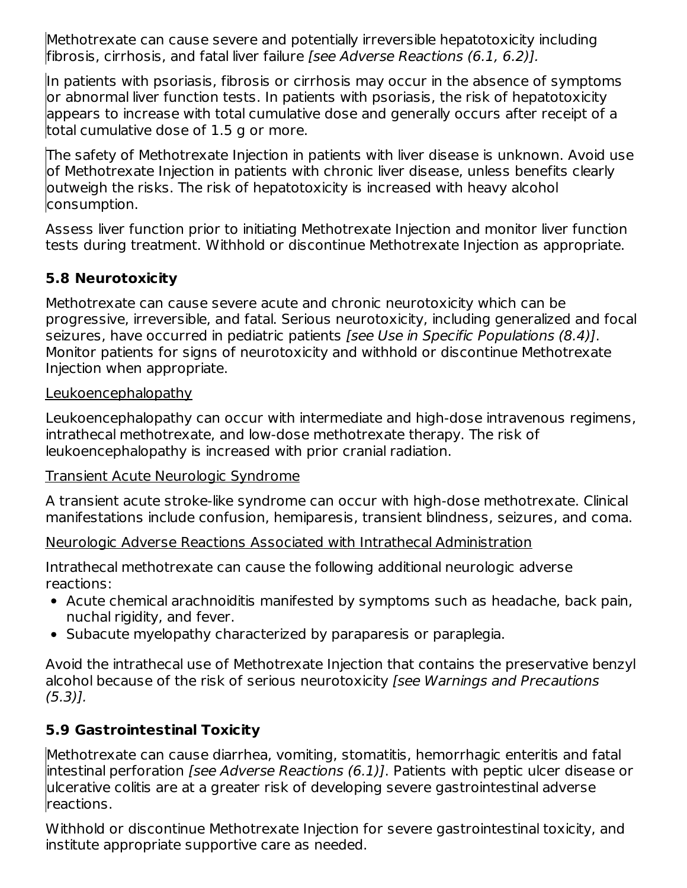Methotrexate can cause severe and potentially irreversible hepatotoxicity including fibrosis, cirrhosis, and fatal liver failure [see Adverse Reactions (6.1, 6.2)].

In patients with psoriasis, fibrosis or cirrhosis may occur in the absence of symptoms or abnormal liver function tests. In patients with psoriasis, the risk of hepatotoxicity appears to increase with total cumulative dose and generally occurs after receipt of a total cumulative dose of 1.5 g or more.

The safety of Methotrexate Injection in patients with liver disease is unknown. Avoid use of Methotrexate Injection in patients with chronic liver disease, unless benefits clearly outweigh the risks. The risk of hepatotoxicity is increased with heavy alcohol consumption.

Assess liver function prior to initiating Methotrexate Injection and monitor liver function tests during treatment. Withhold or discontinue Methotrexate Injection as appropriate.

## **5.8 Neurotoxicity**

Methotrexate can cause severe acute and chronic neurotoxicity which can be progressive, irreversible, and fatal. Serious neurotoxicity, including generalized and focal seizures, have occurred in pediatric patients *[see Use in Specific Populations (8.4)]*. Monitor patients for signs of neurotoxicity and withhold or discontinue Methotrexate Injection when appropriate.

### **Leukoencephalopathy**

Leukoencephalopathy can occur with intermediate and high-dose intravenous regimens, intrathecal methotrexate, and low-dose methotrexate therapy. The risk of leukoencephalopathy is increased with prior cranial radiation.

### Transient Acute Neurologic Syndrome

A transient acute stroke-like syndrome can occur with high-dose methotrexate. Clinical manifestations include confusion, hemiparesis, transient blindness, seizures, and coma.

## Neurologic Adverse Reactions Associated with Intrathecal Administration

Intrathecal methotrexate can cause the following additional neurologic adverse reactions:

- Acute chemical arachnoiditis manifested by symptoms such as headache, back pain, nuchal rigidity, and fever.
- Subacute myelopathy characterized by paraparesis or paraplegia.

Avoid the intrathecal use of Methotrexate Injection that contains the preservative benzyl alcohol because of the risk of serious neurotoxicity [see Warnings and Precautions  $(5.3)$ ].

## **5.9 Gastrointestinal Toxicity**

Methotrexate can cause diarrhea, vomiting, stomatitis, hemorrhagic enteritis and fatal intestinal perforation [see Adverse Reactions (6.1)]. Patients with peptic ulcer disease or ulcerative colitis are at a greater risk of developing severe gastrointestinal adverse reactions.

Withhold or discontinue Methotrexate Injection for severe gastrointestinal toxicity, and institute appropriate supportive care as needed.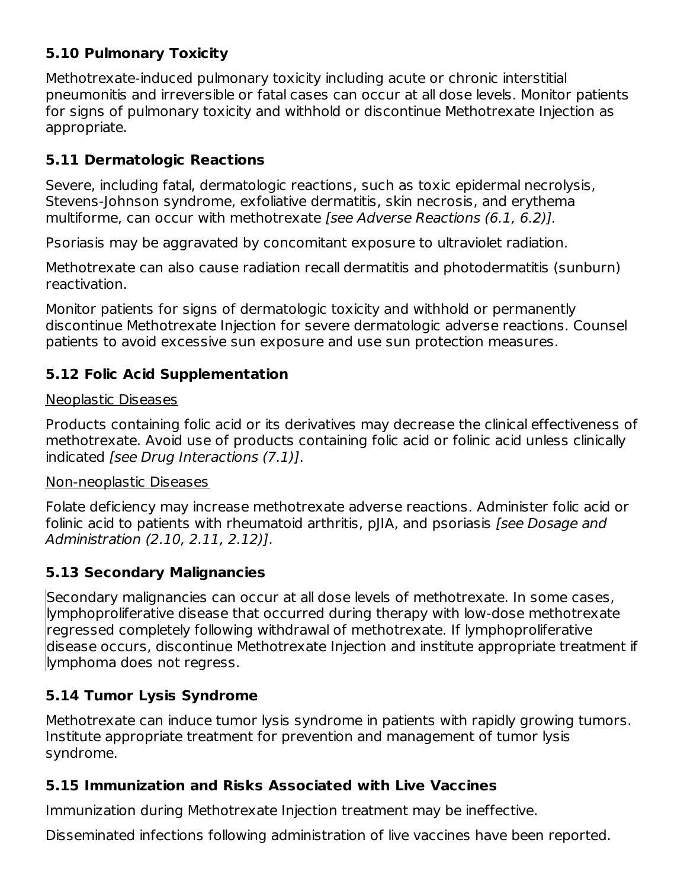## **5.10 Pulmonary Toxicity**

Methotrexate-induced pulmonary toxicity including acute or chronic interstitial pneumonitis and irreversible or fatal cases can occur at all dose levels. Monitor patients for signs of pulmonary toxicity and withhold or discontinue Methotrexate Injection as appropriate.

## **5.11 Dermatologic Reactions**

Severe, including fatal, dermatologic reactions, such as toxic epidermal necrolysis, Stevens-Johnson syndrome, exfoliative dermatitis, skin necrosis, and erythema multiforme, can occur with methotrexate [see Adverse Reactions (6.1, 6.2)].

Psoriasis may be aggravated by concomitant exposure to ultraviolet radiation.

Methotrexate can also cause radiation recall dermatitis and photodermatitis (sunburn) reactivation.

Monitor patients for signs of dermatologic toxicity and withhold or permanently discontinue Methotrexate Injection for severe dermatologic adverse reactions. Counsel patients to avoid excessive sun exposure and use sun protection measures.

## **5.12 Folic Acid Supplementation**

### Neoplastic Diseases

Products containing folic acid or its derivatives may decrease the clinical effectiveness of methotrexate. Avoid use of products containing folic acid or folinic acid unless clinically indicated [see Drug Interactions (7.1)].

### Non-neoplastic Diseases

Folate deficiency may increase methotrexate adverse reactions. Administer folic acid or folinic acid to patients with rheumatoid arthritis, pJIA, and psoriasis *[see Dosage and* Administration (2.10, 2.11, 2.12)].

## **5.13 Secondary Malignancies**

Secondary malignancies can occur at all dose levels of methotrexate. In some cases, lymphoproliferative disease that occurred during therapy with low-dose methotrexate regressed completely following withdrawal of methotrexate. If lymphoproliferative disease occurs, discontinue Methotrexate Injection and institute appropriate treatment if lymphoma does not regress.

## **5.14 Tumor Lysis Syndrome**

Methotrexate can induce tumor lysis syndrome in patients with rapidly growing tumors. Institute appropriate treatment for prevention and management of tumor lysis syndrome.

## **5.15 Immunization and Risks Associated with Live Vaccines**

Immunization during Methotrexate Injection treatment may be ineffective.

Disseminated infections following administration of live vaccines have been reported.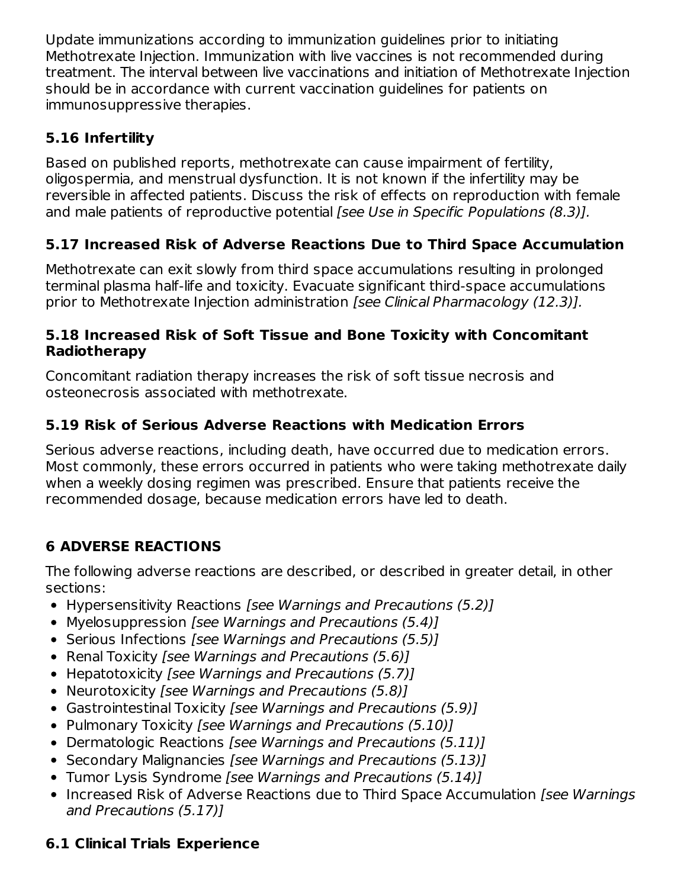Update immunizations according to immunization guidelines prior to initiating Methotrexate Injection. Immunization with live vaccines is not recommended during treatment. The interval between live vaccinations and initiation of Methotrexate Injection should be in accordance with current vaccination guidelines for patients on immunosuppressive therapies.

## **5.16 Infertility**

Based on published reports, methotrexate can cause impairment of fertility, oligospermia, and menstrual dysfunction. It is not known if the infertility may be reversible in affected patients. Discuss the risk of effects on reproduction with female and male patients of reproductive potential [see Use in Specific Populations (8.3)].

## **5.17 Increased Risk of Adverse Reactions Due to Third Space Accumulation**

Methotrexate can exit slowly from third space accumulations resulting in prolonged terminal plasma half-life and toxicity. Evacuate significant third-space accumulations prior to Methotrexate Injection administration [see Clinical Pharmacology (12.3)].

### **5.18 Increased Risk of Soft Tissue and Bone Toxicity with Concomitant Radiotherapy**

Concomitant radiation therapy increases the risk of soft tissue necrosis and osteonecrosis associated with methotrexate.

## **5.19 Risk of Serious Adverse Reactions with Medication Errors**

Serious adverse reactions, including death, have occurred due to medication errors. Most commonly, these errors occurred in patients who were taking methotrexate daily when a weekly dosing regimen was prescribed. Ensure that patients receive the recommended dosage, because medication errors have led to death.

## **6 ADVERSE REACTIONS**

The following adverse reactions are described, or described in greater detail, in other sections:

- Hypersensitivity Reactions [see Warnings and Precautions (5.2)]
- Myelosuppression [see Warnings and Precautions (5.4)]
- Serious Infections [see Warnings and Precautions (5.5)]
- Renal Toxicity *[see Warnings and Precautions (5.6)]*
- Hepatotoxicity [see Warnings and Precautions (5.7)]
- Neurotoxicity [see Warnings and Precautions (5.8)]
- Gastrointestinal Toxicity [see Warnings and Precautions (5.9)]
- Pulmonary Toxicity [see Warnings and Precautions (5.10)]
- Dermatologic Reactions [see Warnings and Precautions (5.11)]
- Secondary Malignancies [see Warnings and Precautions (5.13)]
- Tumor Lysis Syndrome [see Warnings and Precautions (5.14)]
- Increased Risk of Adverse Reactions due to Third Space Accumulation [see Warnings] and Precautions (5.17)]

## **6.1 Clinical Trials Experience**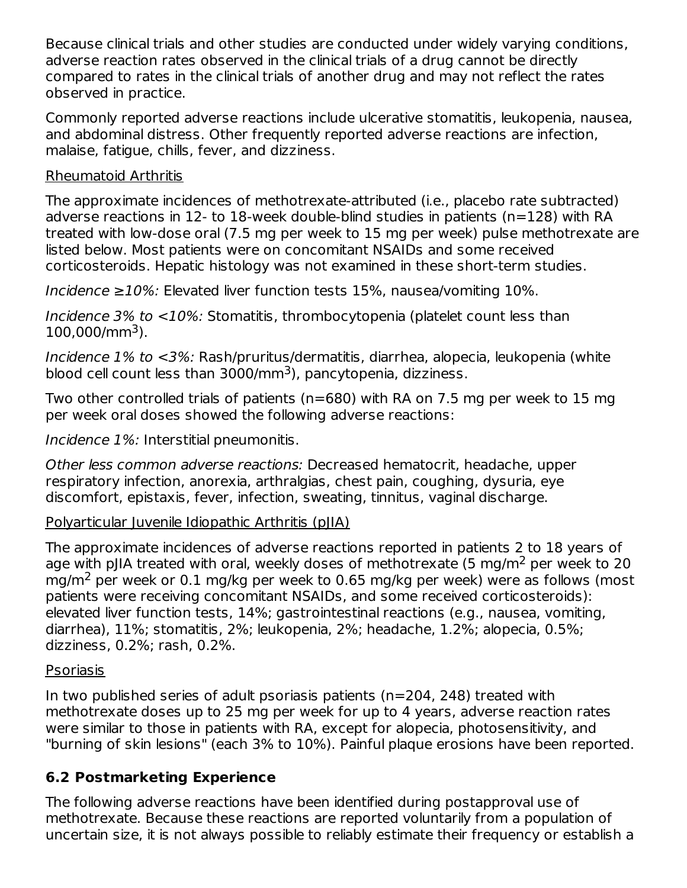Because clinical trials and other studies are conducted under widely varying conditions, adverse reaction rates observed in the clinical trials of a drug cannot be directly compared to rates in the clinical trials of another drug and may not reflect the rates observed in practice.

Commonly reported adverse reactions include ulcerative stomatitis, leukopenia, nausea, and abdominal distress. Other frequently reported adverse reactions are infection, malaise, fatigue, chills, fever, and dizziness.

### Rheumatoid Arthritis

The approximate incidences of methotrexate-attributed (i.e., placebo rate subtracted) adverse reactions in 12- to 18-week double-blind studies in patients (n=128) with RA treated with low-dose oral (7.5 mg per week to 15 mg per week) pulse methotrexate are listed below. Most patients were on concomitant NSAIDs and some received corticosteroids. Hepatic histology was not examined in these short-term studies.

Incidence ≥10%: Elevated liver function tests 15%, nausea/vomiting 10%.

Incidence 3% to <10%: Stomatitis, thrombocytopenia (platelet count less than  $100,000/mm^3$ ).

Incidence 1% to <3%: Rash/pruritus/dermatitis, diarrhea, alopecia, leukopenia (white blood cell count less than 3000/mm<sup>3</sup>), pancytopenia, dizziness.

Two other controlled trials of patients (n=680) with RA on 7.5 mg per week to 15 mg per week oral doses showed the following adverse reactions:

Incidence 1%: Interstitial pneumonitis.

Other less common adverse reactions: Decreased hematocrit, headache, upper respiratory infection, anorexia, arthralgias, chest pain, coughing, dysuria, eye discomfort, epistaxis, fever, infection, sweating, tinnitus, vaginal discharge.

## Polyarticular Juvenile Idiopathic Arthritis (pJIA)

The approximate incidences of adverse reactions reported in patients 2 to 18 years of age with pJIA treated with oral, weekly doses of methotrexate (5 mg/m<sup>2</sup> per week to 20 mg/m<sup>2</sup> per week or 0.1 mg/kg per week to 0.65 mg/kg per week) were as follows (most patients were receiving concomitant NSAIDs, and some received corticosteroids): elevated liver function tests, 14%; gastrointestinal reactions (e.g., nausea, vomiting, diarrhea), 11%; stomatitis, 2%; leukopenia, 2%; headache, 1.2%; alopecia, 0.5%; dizziness, 0.2%; rash, 0.2%.

## Psoriasis

In two published series of adult psoriasis patients (n=204, 248) treated with methotrexate doses up to 25 mg per week for up to 4 years, adverse reaction rates were similar to those in patients with RA, except for alopecia, photosensitivity, and "burning of skin lesions" (each 3% to 10%). Painful plaque erosions have been reported.

## **6.2 Postmarketing Experience**

The following adverse reactions have been identified during postapproval use of methotrexate. Because these reactions are reported voluntarily from a population of uncertain size, it is not always possible to reliably estimate their frequency or establish a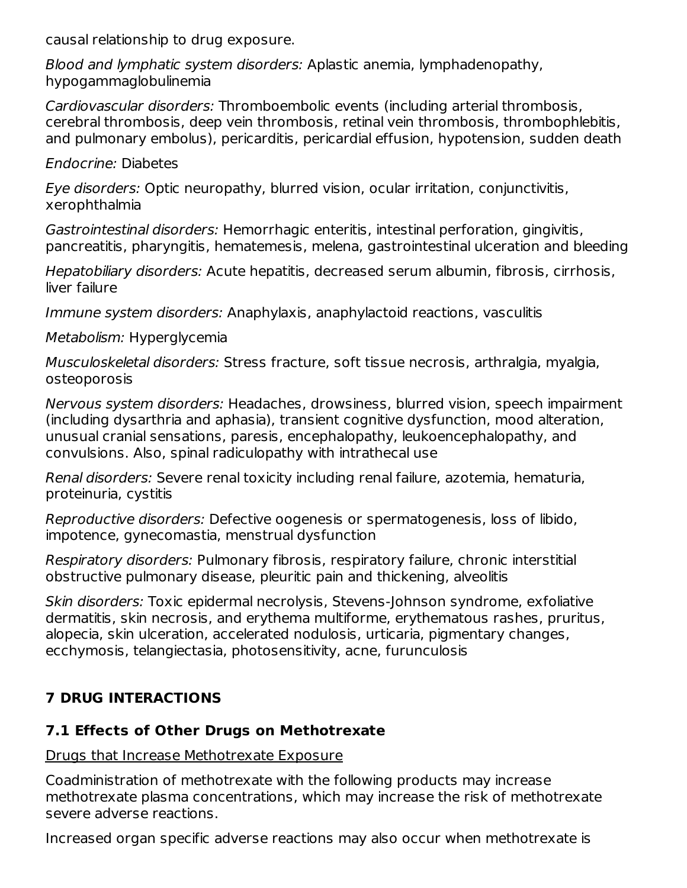causal relationship to drug exposure.

Blood and lymphatic system disorders: Aplastic anemia, lymphadenopathy, hypogammaglobulinemia

Cardiovascular disorders: Thromboembolic events (including arterial thrombosis, cerebral thrombosis, deep vein thrombosis, retinal vein thrombosis, thrombophlebitis, and pulmonary embolus), pericarditis, pericardial effusion, hypotension, sudden death

Endocrine: Diabetes

Eye disorders: Optic neuropathy, blurred vision, ocular irritation, conjunctivitis, xerophthalmia

Gastrointestinal disorders: Hemorrhagic enteritis, intestinal perforation, gingivitis, pancreatitis, pharyngitis, hematemesis, melena, gastrointestinal ulceration and bleeding

Hepatobiliary disorders: Acute hepatitis, decreased serum albumin, fibrosis, cirrhosis, liver failure

Immune system disorders: Anaphylaxis, anaphylactoid reactions, vasculitis

Metabolism: Hyperglycemia

Musculoskeletal disorders: Stress fracture, soft tissue necrosis, arthralgia, myalgia, osteoporosis

Nervous system disorders: Headaches, drowsiness, blurred vision, speech impairment (including dysarthria and aphasia), transient cognitive dysfunction, mood alteration, unusual cranial sensations, paresis, encephalopathy, leukoencephalopathy, and convulsions. Also, spinal radiculopathy with intrathecal use

Renal disorders: Severe renal toxicity including renal failure, azotemia, hematuria, proteinuria, cystitis

Reproductive disorders: Defective oogenesis or spermatogenesis, loss of libido, impotence, gynecomastia, menstrual dysfunction

Respiratory disorders: Pulmonary fibrosis, respiratory failure, chronic interstitial obstructive pulmonary disease, pleuritic pain and thickening, alveolitis

Skin disorders: Toxic epidermal necrolysis, Stevens-Johnson syndrome, exfoliative dermatitis, skin necrosis, and erythema multiforme, erythematous rashes, pruritus, alopecia, skin ulceration, accelerated nodulosis, urticaria, pigmentary changes, ecchymosis, telangiectasia, photosensitivity, acne, furunculosis

# **7 DRUG INTERACTIONS**

## **7.1 Effects of Other Drugs on Methotrexate**

## Drugs that Increase Methotrexate Exposure

Coadministration of methotrexate with the following products may increase methotrexate plasma concentrations, which may increase the risk of methotrexate severe adverse reactions.

Increased organ specific adverse reactions may also occur when methotrexate is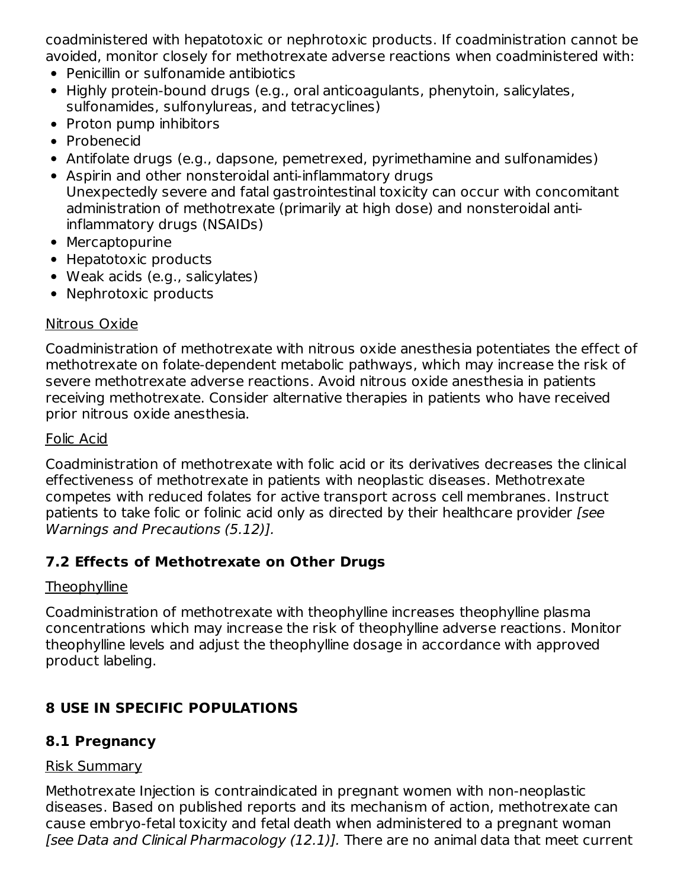coadministered with hepatotoxic or nephrotoxic products. If coadministration cannot be avoided, monitor closely for methotrexate adverse reactions when coadministered with:

- Penicillin or sulfonamide antibiotics
- Highly protein-bound drugs (e.g., oral anticoagulants, phenytoin, salicylates, sulfonamides, sulfonylureas, and tetracyclines)
- Proton pump inhibitors
- Probenecid
- Antifolate drugs (e.g., dapsone, pemetrexed, pyrimethamine and sulfonamides)
- Aspirin and other nonsteroidal anti-inflammatory drugs Unexpectedly severe and fatal gastrointestinal toxicity can occur with concomitant administration of methotrexate (primarily at high dose) and nonsteroidal antiinflammatory drugs (NSAIDs)
- Mercaptopurine
- Hepatotoxic products
- Weak acids (e.g., salicylates)
- Nephrotoxic products

## Nitrous Oxide

Coadministration of methotrexate with nitrous oxide anesthesia potentiates the effect of methotrexate on folate-dependent metabolic pathways, which may increase the risk of severe methotrexate adverse reactions. Avoid nitrous oxide anesthesia in patients receiving methotrexate. Consider alternative therapies in patients who have received prior nitrous oxide anesthesia.

## Folic Acid

Coadministration of methotrexate with folic acid or its derivatives decreases the clinical effectiveness of methotrexate in patients with neoplastic diseases. Methotrexate competes with reduced folates for active transport across cell membranes. Instruct patients to take folic or folinic acid only as directed by their healthcare provider [see Warnings and Precautions (5.12)].

## **7.2 Effects of Methotrexate on Other Drugs**

## **Theophylline**

Coadministration of methotrexate with theophylline increases theophylline plasma concentrations which may increase the risk of theophylline adverse reactions. Monitor theophylline levels and adjust the theophylline dosage in accordance with approved product labeling.

## **8 USE IN SPECIFIC POPULATIONS**

## **8.1 Pregnancy**

## Risk Summary

Methotrexate Injection is contraindicated in pregnant women with non-neoplastic diseases. Based on published reports and its mechanism of action, methotrexate can cause embryo-fetal toxicity and fetal death when administered to a pregnant woman [see Data and Clinical Pharmacology (12.1)]. There are no animal data that meet current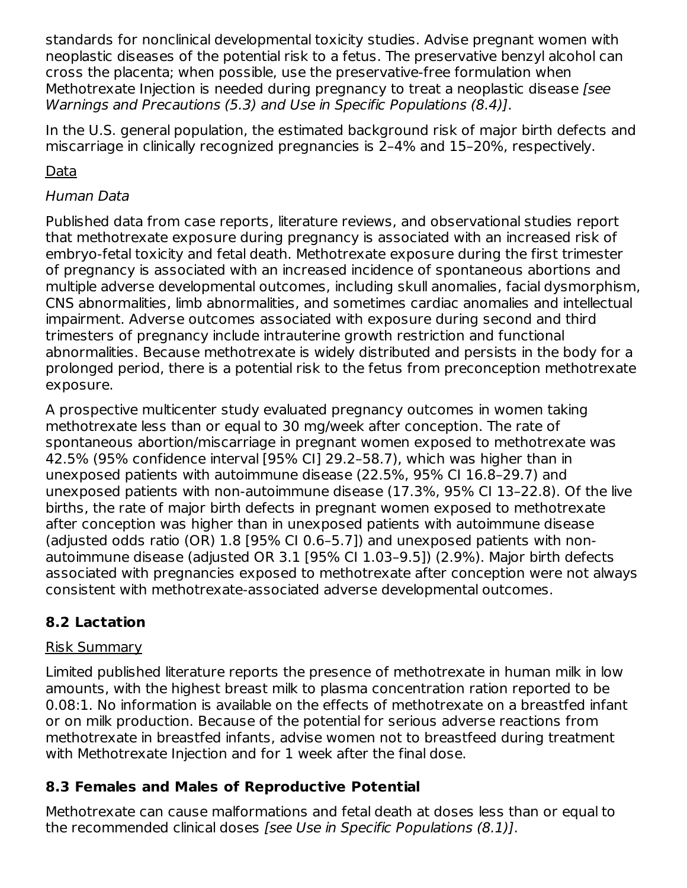standards for nonclinical developmental toxicity studies. Advise pregnant women with neoplastic diseases of the potential risk to a fetus. The preservative benzyl alcohol can cross the placenta; when possible, use the preservative-free formulation when Methotrexate Injection is needed during pregnancy to treat a neoplastic disease [see Warnings and Precautions (5.3) and Use in Specific Populations (8.4)].

In the U.S. general population, the estimated background risk of major birth defects and miscarriage in clinically recognized pregnancies is 2–4% and 15–20%, respectively.

## Data

## Human Data

Published data from case reports, literature reviews, and observational studies report that methotrexate exposure during pregnancy is associated with an increased risk of embryo-fetal toxicity and fetal death. Methotrexate exposure during the first trimester of pregnancy is associated with an increased incidence of spontaneous abortions and multiple adverse developmental outcomes, including skull anomalies, facial dysmorphism, CNS abnormalities, limb abnormalities, and sometimes cardiac anomalies and intellectual impairment. Adverse outcomes associated with exposure during second and third trimesters of pregnancy include intrauterine growth restriction and functional abnormalities. Because methotrexate is widely distributed and persists in the body for a prolonged period, there is a potential risk to the fetus from preconception methotrexate exposure.

A prospective multicenter study evaluated pregnancy outcomes in women taking methotrexate less than or equal to 30 mg/week after conception. The rate of spontaneous abortion/miscarriage in pregnant women exposed to methotrexate was 42.5% (95% confidence interval [95% CI] 29.2–58.7), which was higher than in unexposed patients with autoimmune disease (22.5%, 95% CI 16.8–29.7) and unexposed patients with non-autoimmune disease (17.3%, 95% CI 13–22.8). Of the live births, the rate of major birth defects in pregnant women exposed to methotrexate after conception was higher than in unexposed patients with autoimmune disease (adjusted odds ratio (OR) 1.8 [95% CI 0.6–5.7]) and unexposed patients with nonautoimmune disease (adjusted OR 3.1 [95% CI 1.03–9.5]) (2.9%). Major birth defects associated with pregnancies exposed to methotrexate after conception were not always consistent with methotrexate-associated adverse developmental outcomes.

## **8.2 Lactation**

### Risk Summary

Limited published literature reports the presence of methotrexate in human milk in low amounts, with the highest breast milk to plasma concentration ration reported to be 0.08:1. No information is available on the effects of methotrexate on a breastfed infant or on milk production. Because of the potential for serious adverse reactions from methotrexate in breastfed infants, advise women not to breastfeed during treatment with Methotrexate Injection and for 1 week after the final dose.

## **8.3 Females and Males of Reproductive Potential**

Methotrexate can cause malformations and fetal death at doses less than or equal to the recommended clinical doses [see Use in Specific Populations (8.1)].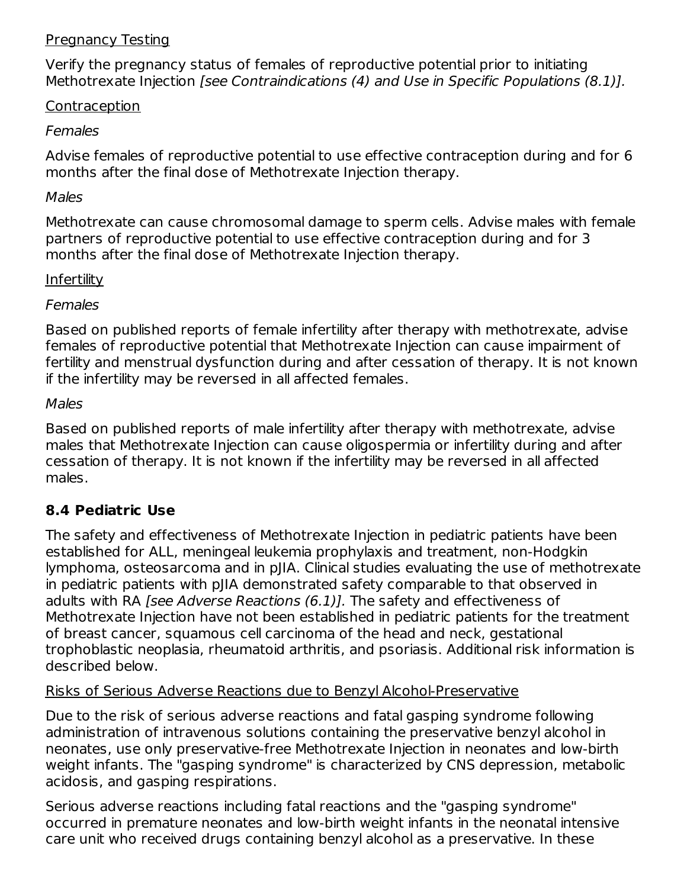#### Pregnancy Testing

Verify the pregnancy status of females of reproductive potential prior to initiating Methotrexate Injection [see Contraindications (4) and Use in Specific Populations (8.1)].

### Contraception

### Females

Advise females of reproductive potential to use effective contraception during and for 6 months after the final dose of Methotrexate Injection therapy.

#### Males

Methotrexate can cause chromosomal damage to sperm cells. Advise males with female partners of reproductive potential to use effective contraception during and for 3 months after the final dose of Methotrexate Injection therapy.

### **Infertility**

### Females

Based on published reports of female infertility after therapy with methotrexate, advise females of reproductive potential that Methotrexate Injection can cause impairment of fertility and menstrual dysfunction during and after cessation of therapy. It is not known if the infertility may be reversed in all affected females.

#### Males

Based on published reports of male infertility after therapy with methotrexate, advise males that Methotrexate Injection can cause oligospermia or infertility during and after cessation of therapy. It is not known if the infertility may be reversed in all affected males.

## **8.4 Pediatric Use**

The safety and effectiveness of Methotrexate Injection in pediatric patients have been established for ALL, meningeal leukemia prophylaxis and treatment, non-Hodgkin lymphoma, osteosarcoma and in pJIA. Clinical studies evaluating the use of methotrexate in pediatric patients with pJIA demonstrated safety comparable to that observed in adults with RA [see Adverse Reactions (6.1)]. The safety and effectiveness of Methotrexate Injection have not been established in pediatric patients for the treatment of breast cancer, squamous cell carcinoma of the head and neck, gestational trophoblastic neoplasia, rheumatoid arthritis, and psoriasis. Additional risk information is described below.

### Risks of Serious Adverse Reactions due to Benzyl Alcohol-Preservative

Due to the risk of serious adverse reactions and fatal gasping syndrome following administration of intravenous solutions containing the preservative benzyl alcohol in neonates, use only preservative-free Methotrexate Injection in neonates and low-birth weight infants. The "gasping syndrome" is characterized by CNS depression, metabolic acidosis, and gasping respirations.

Serious adverse reactions including fatal reactions and the "gasping syndrome" occurred in premature neonates and low-birth weight infants in the neonatal intensive care unit who received drugs containing benzyl alcohol as a preservative. In these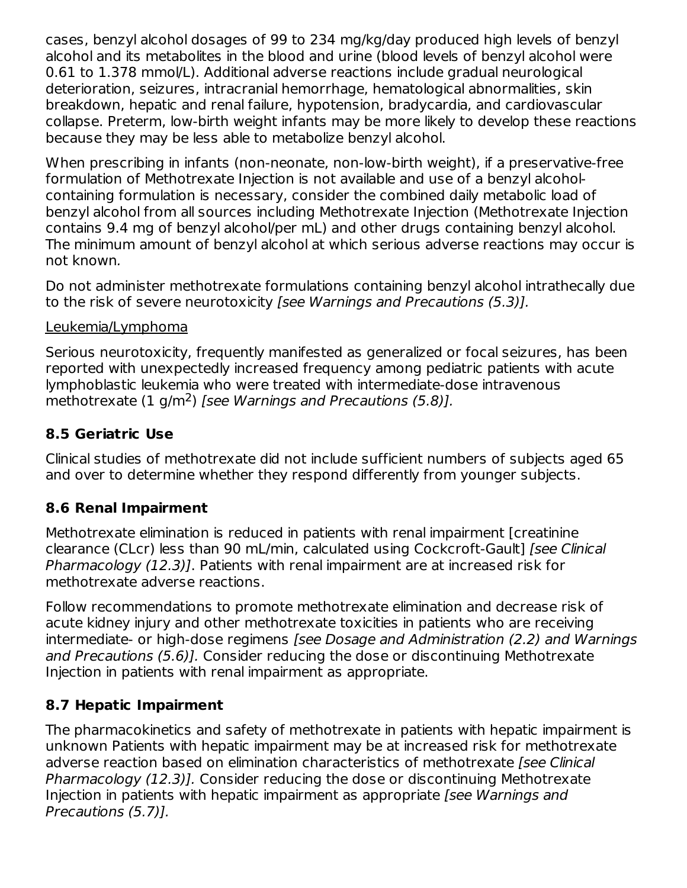cases, benzyl alcohol dosages of 99 to 234 mg/kg/day produced high levels of benzyl alcohol and its metabolites in the blood and urine (blood levels of benzyl alcohol were 0.61 to 1.378 mmol/L). Additional adverse reactions include gradual neurological deterioration, seizures, intracranial hemorrhage, hematological abnormalities, skin breakdown, hepatic and renal failure, hypotension, bradycardia, and cardiovascular collapse. Preterm, low-birth weight infants may be more likely to develop these reactions because they may be less able to metabolize benzyl alcohol.

When prescribing in infants (non-neonate, non-low-birth weight), if a preservative-free formulation of Methotrexate Injection is not available and use of a benzyl alcoholcontaining formulation is necessary, consider the combined daily metabolic load of benzyl alcohol from all sources including Methotrexate Injection (Methotrexate Injection contains 9.4 mg of benzyl alcohol/per mL) and other drugs containing benzyl alcohol. The minimum amount of benzyl alcohol at which serious adverse reactions may occur is not known.

Do not administer methotrexate formulations containing benzyl alcohol intrathecally due to the risk of severe neurotoxicity [see Warnings and Precautions (5.3)].

## Leukemia/Lymphoma

Serious neurotoxicity, frequently manifested as generalized or focal seizures, has been reported with unexpectedly increased frequency among pediatric patients with acute lymphoblastic leukemia who were treated with intermediate-dose intravenous methotrexate  $(1 g/m^2)$  [see Warnings and Precautions (5.8)].

## **8.5 Geriatric Use**

Clinical studies of methotrexate did not include sufficient numbers of subjects aged 65 and over to determine whether they respond differently from younger subjects.

## **8.6 Renal Impairment**

Methotrexate elimination is reduced in patients with renal impairment [creatinine clearance (CLcr) less than 90 mL/min, calculated using Cockcroft-Gault] [see Clinical Pharmacology (12.3)]. Patients with renal impairment are at increased risk for methotrexate adverse reactions.

Follow recommendations to promote methotrexate elimination and decrease risk of acute kidney injury and other methotrexate toxicities in patients who are receiving intermediate- or high-dose regimens [see Dosage and Administration (2.2) and Warnings and Precautions (5.6)]. Consider reducing the dose or discontinuing Methotrexate Injection in patients with renal impairment as appropriate.

## **8.7 Hepatic Impairment**

The pharmacokinetics and safety of methotrexate in patients with hepatic impairment is unknown Patients with hepatic impairment may be at increased risk for methotrexate adverse reaction based on elimination characteristics of methotrexate *[see Clinical*] Pharmacology (12.3)]. Consider reducing the dose or discontinuing Methotrexate Injection in patients with hepatic impairment as appropriate [see Warnings and Precautions (5.7)].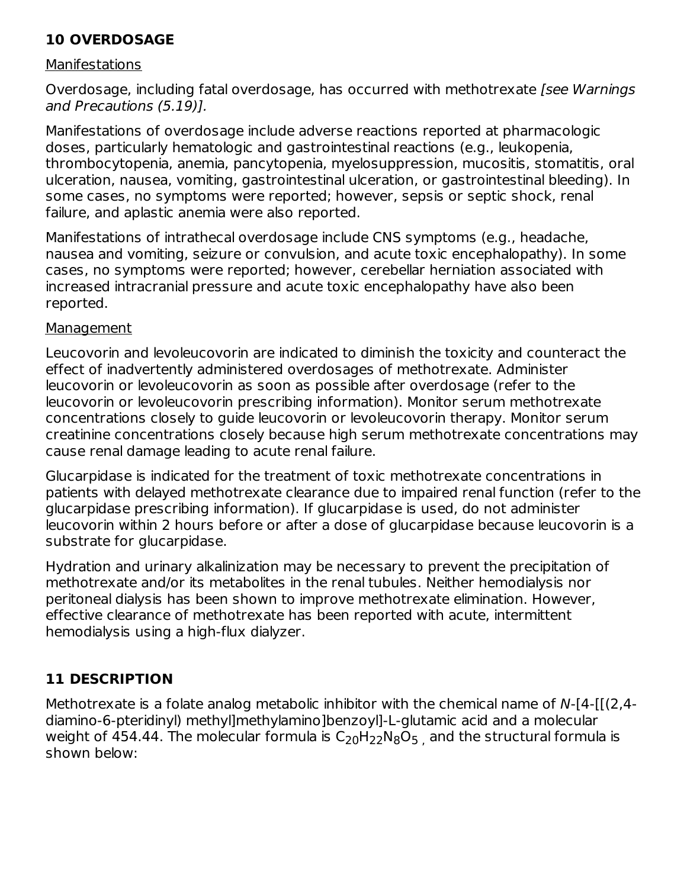## **10 OVERDOSAGE**

#### **Manifestations**

Overdosage, including fatal overdosage, has occurred with methotrexate [see Warnings and Precautions (5.19)].

Manifestations of overdosage include adverse reactions reported at pharmacologic doses, particularly hematologic and gastrointestinal reactions (e.g., leukopenia, thrombocytopenia, anemia, pancytopenia, myelosuppression, mucositis, stomatitis, oral ulceration, nausea, vomiting, gastrointestinal ulceration, or gastrointestinal bleeding). In some cases, no symptoms were reported; however, sepsis or septic shock, renal failure, and aplastic anemia were also reported.

Manifestations of intrathecal overdosage include CNS symptoms (e.g., headache, nausea and vomiting, seizure or convulsion, and acute toxic encephalopathy). In some cases, no symptoms were reported; however, cerebellar herniation associated with increased intracranial pressure and acute toxic encephalopathy have also been reported.

#### Management

Leucovorin and levoleucovorin are indicated to diminish the toxicity and counteract the effect of inadvertently administered overdosages of methotrexate. Administer leucovorin or levoleucovorin as soon as possible after overdosage (refer to the leucovorin or levoleucovorin prescribing information). Monitor serum methotrexate concentrations closely to guide leucovorin or levoleucovorin therapy. Monitor serum creatinine concentrations closely because high serum methotrexate concentrations may cause renal damage leading to acute renal failure.

Glucarpidase is indicated for the treatment of toxic methotrexate concentrations in patients with delayed methotrexate clearance due to impaired renal function (refer to the glucarpidase prescribing information). If glucarpidase is used, do not administer leucovorin within 2 hours before or after a dose of glucarpidase because leucovorin is a substrate for glucarpidase.

Hydration and urinary alkalinization may be necessary to prevent the precipitation of methotrexate and/or its metabolites in the renal tubules. Neither hemodialysis nor peritoneal dialysis has been shown to improve methotrexate elimination. However, effective clearance of methotrexate has been reported with acute, intermittent hemodialysis using a high-flux dialyzer.

## **11 DESCRIPTION**

Methotrexate is a folate analog metabolic inhibitor with the chemical name of N-[4-[[(2,4diamino-6-pteridinyl) methyl]methylamino]benzoyl]-L-glutamic acid and a molecular weight of 454.44. The molecular formula is  $\mathsf{C}_\mathsf{20}\mathsf{H}_\mathsf{22}\mathsf{N}_\mathsf{8}\mathsf{O}_5$  , and the structural formula is shown below: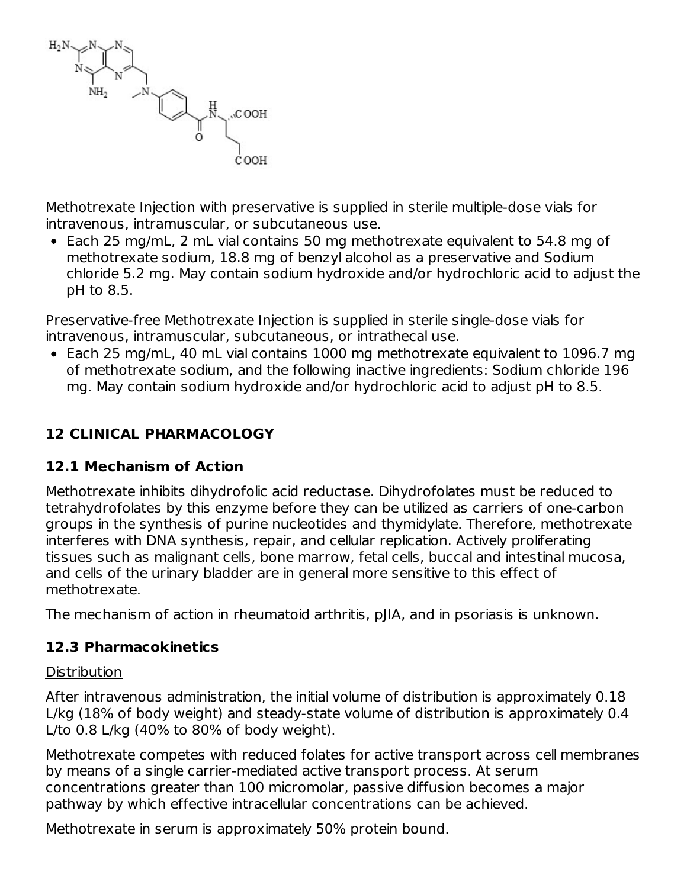

Methotrexate Injection with preservative is supplied in sterile multiple-dose vials for intravenous, intramuscular, or subcutaneous use.

Each 25 mg/mL, 2 mL vial contains 50 mg methotrexate equivalent to 54.8 mg of methotrexate sodium, 18.8 mg of benzyl alcohol as a preservative and Sodium chloride 5.2 mg. May contain sodium hydroxide and/or hydrochloric acid to adjust the pH to 8.5.

Preservative-free Methotrexate Injection is supplied in sterile single-dose vials for intravenous, intramuscular, subcutaneous, or intrathecal use.

Each 25 mg/mL, 40 mL vial contains 1000 mg methotrexate equivalent to 1096.7 mg of methotrexate sodium, and the following inactive ingredients: Sodium chloride 196 mg. May contain sodium hydroxide and/or hydrochloric acid to adjust pH to 8.5.

## **12 CLINICAL PHARMACOLOGY**

## **12.1 Mechanism of Action**

Methotrexate inhibits dihydrofolic acid reductase. Dihydrofolates must be reduced to tetrahydrofolates by this enzyme before they can be utilized as carriers of one-carbon groups in the synthesis of purine nucleotides and thymidylate. Therefore, methotrexate interferes with DNA synthesis, repair, and cellular replication. Actively proliferating tissues such as malignant cells, bone marrow, fetal cells, buccal and intestinal mucosa, and cells of the urinary bladder are in general more sensitive to this effect of methotrexate.

The mechanism of action in rheumatoid arthritis, pJIA, and in psoriasis is unknown.

### **12.3 Pharmacokinetics**

#### **Distribution**

After intravenous administration, the initial volume of distribution is approximately 0.18 L/kg (18% of body weight) and steady-state volume of distribution is approximately 0.4 L/to 0.8 L/kg (40% to 80% of body weight).

Methotrexate competes with reduced folates for active transport across cell membranes by means of a single carrier-mediated active transport process. At serum concentrations greater than 100 micromolar, passive diffusion becomes a major pathway by which effective intracellular concentrations can be achieved.

Methotrexate in serum is approximately 50% protein bound.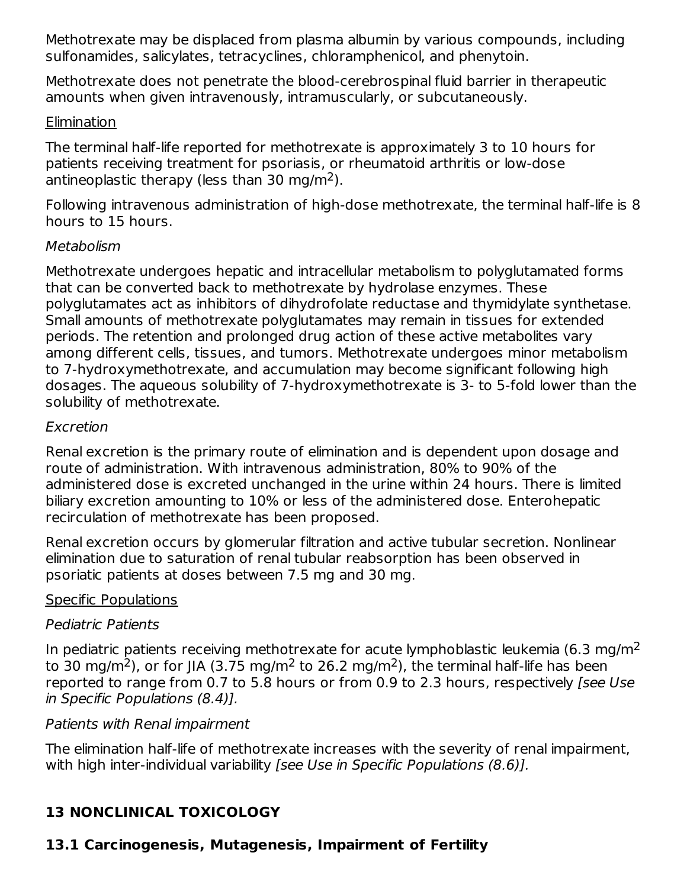Methotrexate may be displaced from plasma albumin by various compounds, including sulfonamides, salicylates, tetracyclines, chloramphenicol, and phenytoin.

Methotrexate does not penetrate the blood-cerebrospinal fluid barrier in therapeutic amounts when given intravenously, intramuscularly, or subcutaneously.

### Elimination

The terminal half-life reported for methotrexate is approximately 3 to 10 hours for patients receiving treatment for psoriasis, or rheumatoid arthritis or low-dose antineoplastic therapy (less than 30 mg/m<sup>2</sup>).

Following intravenous administration of high-dose methotrexate, the terminal half-life is 8 hours to 15 hours.

### Metabolism

Methotrexate undergoes hepatic and intracellular metabolism to polyglutamated forms that can be converted back to methotrexate by hydrolase enzymes. These polyglutamates act as inhibitors of dihydrofolate reductase and thymidylate synthetase. Small amounts of methotrexate polyglutamates may remain in tissues for extended periods. The retention and prolonged drug action of these active metabolites vary among different cells, tissues, and tumors. Methotrexate undergoes minor metabolism to 7-hydroxymethotrexate, and accumulation may become significant following high dosages. The aqueous solubility of 7-hydroxymethotrexate is 3- to 5-fold lower than the solubility of methotrexate.

### Excretion

Renal excretion is the primary route of elimination and is dependent upon dosage and route of administration. With intravenous administration, 80% to 90% of the administered dose is excreted unchanged in the urine within 24 hours. There is limited biliary excretion amounting to 10% or less of the administered dose. Enterohepatic recirculation of methotrexate has been proposed.

Renal excretion occurs by glomerular filtration and active tubular secretion. Nonlinear elimination due to saturation of renal tubular reabsorption has been observed in psoriatic patients at doses between 7.5 mg and 30 mg.

## Specific Populations

## Pediatric Patients

In pediatric patients receiving methotrexate for acute lymphoblastic leukemia (6.3 mg/m<sup>2</sup> to 30 mg/m<sup>2</sup>), or for JIA (3.75 mg/m<sup>2</sup> to 26.2 mg/m<sup>2</sup>), the terminal half-life has been reported to range from 0.7 to 5.8 hours or from 0.9 to 2.3 hours, respectively [see Use in Specific Populations (8.4)].

## Patients with Renal impairment

The elimination half-life of methotrexate increases with the severity of renal impairment, with high inter-individual variability [see Use in Specific Populations (8.6)].

## **13 NONCLINICAL TOXICOLOGY**

## **13.1 Carcinogenesis, Mutagenesis, Impairment of Fertility**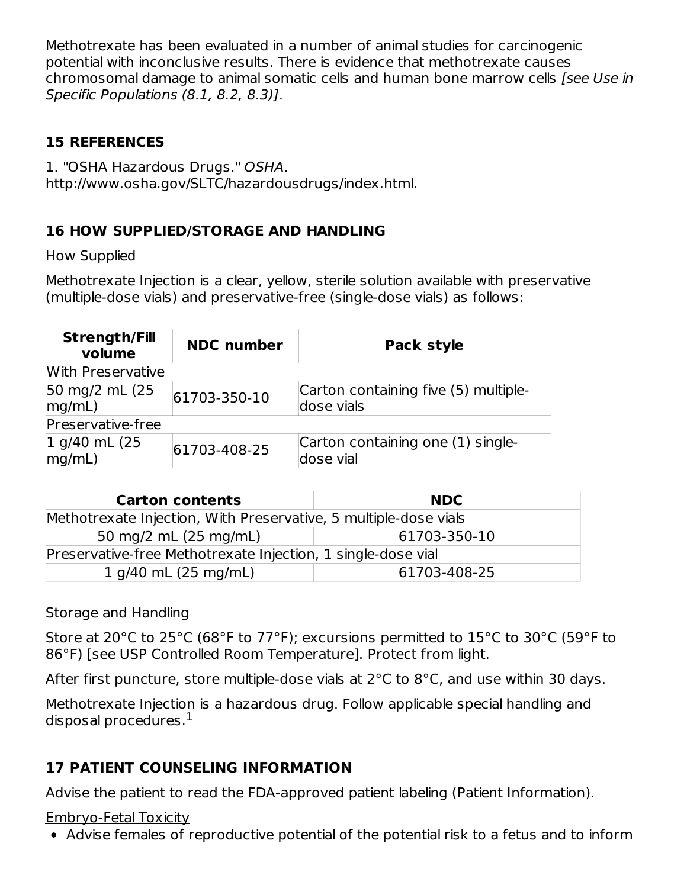Methotrexate has been evaluated in a number of animal studies for carcinogenic potential with inconclusive results. There is evidence that methotrexate causes chromosomal damage to animal somatic cells and human bone marrow cells [see Use in Specific Populations (8.1, 8.2, 8.3)].

## **15 REFERENCES**

1. "OSHA Hazardous Drugs." OSHA. http://www.osha.gov/SLTC/hazardousdrugs/index.html.

## **16 HOW SUPPLIED/STORAGE AND HANDLING**

How Supplied

Methotrexate Injection is a clear, yellow, sterile solution available with preservative (multiple-dose vials) and preservative-free (single-dose vials) as follows:

| <b>Strength/Fill</b><br>volume | <b>NDC</b> number | Pack style                                         |  |  |
|--------------------------------|-------------------|----------------------------------------------------|--|--|
| With Preservative              |                   |                                                    |  |  |
| 50 mg/2 mL (25<br>mq/mL)       | 61703-350-10      | Carton containing five (5) multiple-<br>dose vials |  |  |
| Preservative-free              |                   |                                                    |  |  |
| 1 g/40 mL (25<br>mq/mL)        | 61703-408-25      | Carton containing one (1) single-<br>dose vial     |  |  |

| <b>Carton contents</b>                                           | <b>NDC</b>   |  |  |  |
|------------------------------------------------------------------|--------------|--|--|--|
| Methotrexate Injection, With Preservative, 5 multiple-dose vials |              |  |  |  |
| 50 mg/2 mL (25 mg/mL)                                            | 61703-350-10 |  |  |  |
| Preservative-free Methotrexate Injection, 1 single-dose vial     |              |  |  |  |
| 1 g/40 mL (25 mg/mL)                                             | 61703-408-25 |  |  |  |

## Storage and Handling

Store at 20°C to 25°C (68°F to 77°F); excursions permitted to 15°C to 30°C (59°F to 86°F) [see USP Controlled Room Temperature]. Protect from light.

After first puncture, store multiple-dose vials at  $2^{\circ}$ C to  $8^{\circ}$ C, and use within 30 days.

Methotrexate Injection is a hazardous drug. Follow applicable special handling and disposal procedures. $^{\rm 1}$ 

## **17 PATIENT COUNSELING INFORMATION**

Advise the patient to read the FDA-approved patient labeling (Patient Information).

## Embryo-Fetal Toxicity

Advise females of reproductive potential of the potential risk to a fetus and to inform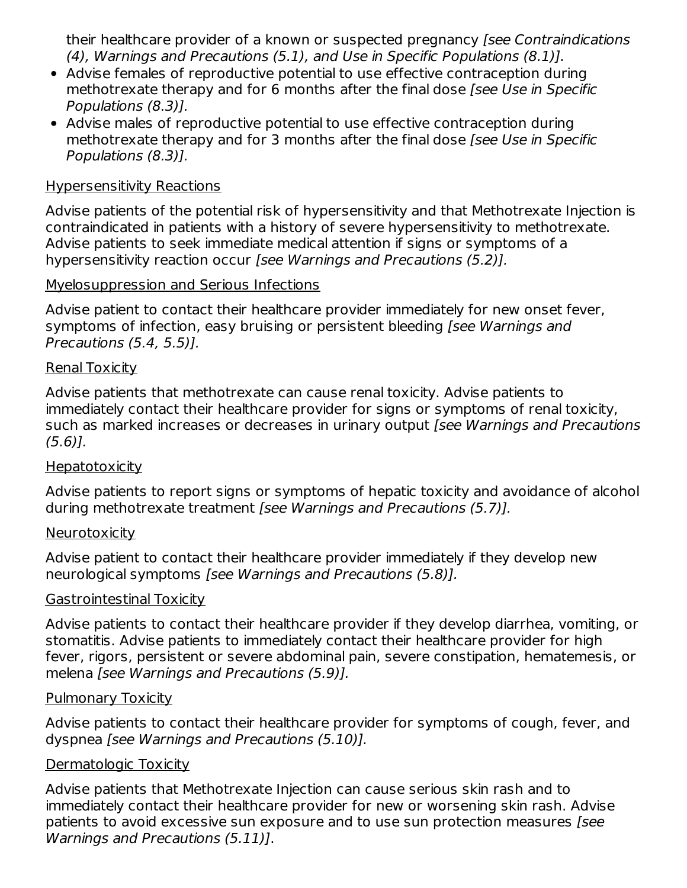their healthcare provider of a known or suspected pregnancy [see Contraindications (4), Warnings and Precautions (5.1), and Use in Specific Populations (8.1)].

- Advise females of reproductive potential to use effective contraception during methotrexate therapy and for 6 months after the final dose *[see Use in Specific* Populations (8.3)].
- Advise males of reproductive potential to use effective contraception during methotrexate therapy and for 3 months after the final dose [see Use in Specific Populations (8.3)].

#### Hypersensitivity Reactions

Advise patients of the potential risk of hypersensitivity and that Methotrexate Injection is contraindicated in patients with a history of severe hypersensitivity to methotrexate. Advise patients to seek immediate medical attention if signs or symptoms of a hypersensitivity reaction occur [see Warnings and Precautions (5.2)].

#### Myelosuppression and Serious Infections

Advise patient to contact their healthcare provider immediately for new onset fever, symptoms of infection, easy bruising or persistent bleeding [see Warnings and Precautions (5.4, 5.5)].

#### Renal Toxicity

Advise patients that methotrexate can cause renal toxicity. Advise patients to immediately contact their healthcare provider for signs or symptoms of renal toxicity, such as marked increases or decreases in urinary output [see Warnings and Precautions (5.6)].

#### **Hepatotoxicity**

Advise patients to report signs or symptoms of hepatic toxicity and avoidance of alcohol during methotrexate treatment [see Warnings and Precautions (5.7)].

#### **Neurotoxicity**

Advise patient to contact their healthcare provider immediately if they develop new neurological symptoms [see Warnings and Precautions (5.8)].

#### Gastrointestinal Toxicity

Advise patients to contact their healthcare provider if they develop diarrhea, vomiting, or stomatitis. Advise patients to immediately contact their healthcare provider for high fever, rigors, persistent or severe abdominal pain, severe constipation, hematemesis, or melena [see Warnings and Precautions (5.9)].

#### Pulmonary Toxicity

Advise patients to contact their healthcare provider for symptoms of cough, fever, and dyspnea [see Warnings and Precautions (5.10)].

#### Dermatologic Toxicity

Advise patients that Methotrexate Injection can cause serious skin rash and to immediately contact their healthcare provider for new or worsening skin rash. Advise patients to avoid excessive sun exposure and to use sun protection measures [see Warnings and Precautions (5.11)].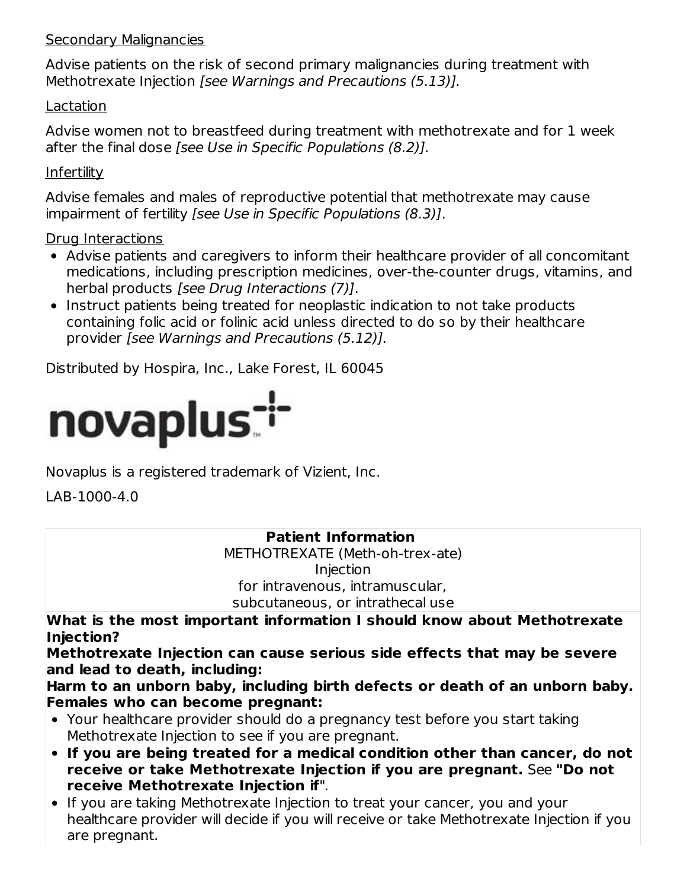### Secondary Malignancies

Advise patients on the risk of second primary malignancies during treatment with Methotrexate Injection [see Warnings and Precautions (5.13)].

### Lactation

Advise women not to breastfeed during treatment with methotrexate and for 1 week after the final dose [see Use in Specific Populations (8.2)].

### **Infertility**

Advise females and males of reproductive potential that methotrexate may cause impairment of fertility [see Use in Specific Populations (8.3)].

### Drug Interactions

- Advise patients and caregivers to inform their healthcare provider of all concomitant medications, including prescription medicines, over-the-counter drugs, vitamins, and herbal products [see Drug Interactions (7)].
- Instruct patients being treated for neoplastic indication to not take products containing folic acid or folinic acid unless directed to do so by their healthcare provider [see Warnings and Precautions (5.12)].

Distributed by Hospira, Inc., Lake Forest, IL 60045



Novaplus is a registered trademark of Vizient, Inc.

LAB-1000-4.0

### **Patient Information** METHOTREXATE (Meth-oh-trex-ate) Injection for intravenous, intramuscular,

subcutaneous, or intrathecal use

**What is the most important information I should know about Methotrexate Injection?**

**Methotrexate Injection can cause serious side effects that may be severe and lead to death, including:**

**Harm to an unborn baby, including birth defects or death of an unborn baby. Females who can become pregnant:**

- Your healthcare provider should do a pregnancy test before you start taking Methotrexate Injection to see if you are pregnant.
- **If you are being treated for a medical condition other than cancer, do not receive or take Methotrexate Injection if you are pregnant.** See **"Do not receive Methotrexate Injection if**".
- If you are taking Methotrexate Injection to treat your cancer, you and your healthcare provider will decide if you will receive or take Methotrexate Injection if you are pregnant.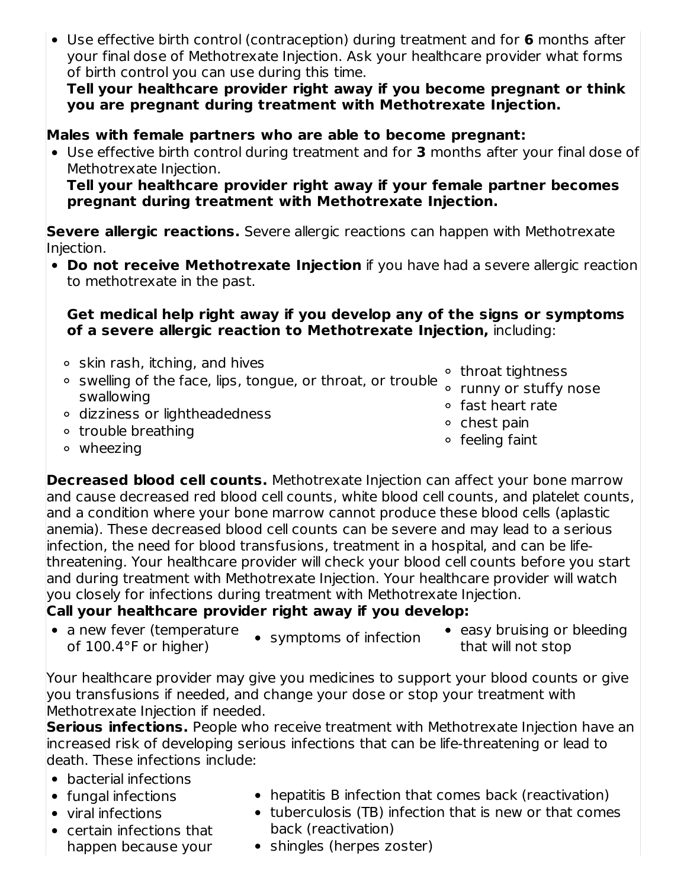Use effective birth control (contraception) during treatment and for **6** months after your final dose of Methotrexate Injection. Ask your healthcare provider what forms of birth control you can use during this time.

**Tell your healthcare provider right away if you become pregnant or think you are pregnant during treatment with Methotrexate Injection.**

## **Males with female partners who are able to become pregnant:**

Use effective birth control during treatment and for **3** months after your final dose of Methotrexate Injection.

**Tell your healthcare provider right away if your female partner becomes pregnant during treatment with Methotrexate Injection.**

**Severe allergic reactions.** Severe allergic reactions can happen with Methotrexate Injection.

**Do not receive Methotrexate Injection** if you have had a severe allergic reaction to methotrexate in the past.

#### **Get medical help right away if you develop any of the signs or symptoms of a severe allergic reaction to Methotrexate Injection,** including:

- $\circ$  skin rash, itching, and hives swelling of the face, lips, tongue, or throat, or trouble swallowing dizziness or lightheadedness o trouble breathing throat tightness runny or stuffy nose fast heart rate  $\circ$  chest pain feeling faint
- wheezing

**Decreased blood cell counts.** Methotrexate Injection can affect your bone marrow and cause decreased red blood cell counts, white blood cell counts, and platelet counts, and a condition where your bone marrow cannot produce these blood cells (aplastic anemia). These decreased blood cell counts can be severe and may lead to a serious infection, the need for blood transfusions, treatment in a hospital, and can be lifethreatening. Your healthcare provider will check your blood cell counts before you start and during treatment with Methotrexate Injection. Your healthcare provider will watch you closely for infections during treatment with Methotrexate Injection.

## **Call your healthcare provider right away if you develop:**

- a new fever (temperature of 100.4°F or higher)
- symptoms of infection
- easy bruising or bleeding that will not stop

Your healthcare provider may give you medicines to support your blood counts or give you transfusions if needed, and change your dose or stop your treatment with Methotrexate Injection if needed.

**Serious infections.** People who receive treatment with Methotrexate Injection have an increased risk of developing serious infections that can be life-threatening or lead to death. These infections include:

- bacterial infections
- fungal infections
- viral infections
- certain infections that happen because your
- hepatitis B infection that comes back (reactivation)
- tuberculosis (TB) infection that is new or that comes back (reactivation)
- shingles (herpes zoster)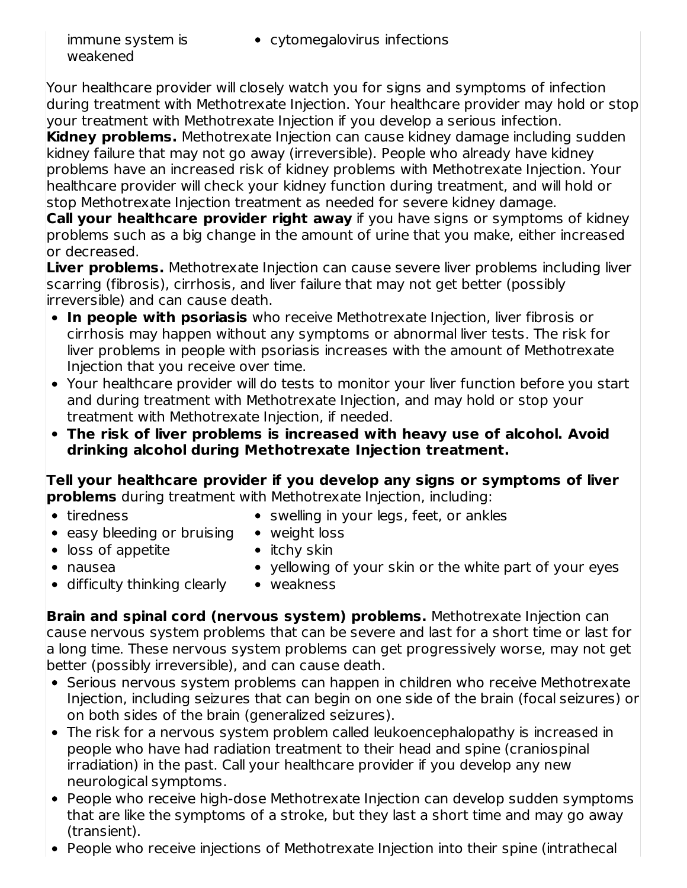immune system is cytomegalovirus infections

Your healthcare provider will closely watch you for signs and symptoms of infection during treatment with Methotrexate Injection. Your healthcare provider may hold or stop your treatment with Methotrexate Injection if you develop a serious infection.

**Kidney problems.** Methotrexate Injection can cause kidney damage including sudden kidney failure that may not go away (irreversible). People who already have kidney problems have an increased risk of kidney problems with Methotrexate Injection. Your healthcare provider will check your kidney function during treatment, and will hold or stop Methotrexate Injection treatment as needed for severe kidney damage.

**Call your healthcare provider right away** if you have signs or symptoms of kidney problems such as a big change in the amount of urine that you make, either increased or decreased.

**Liver problems.** Methotrexate Injection can cause severe liver problems including liver scarring (fibrosis), cirrhosis, and liver failure that may not get better (possibly irreversible) and can cause death.

- **In people with psoriasis** who receive Methotrexate Injection, liver fibrosis or cirrhosis may happen without any symptoms or abnormal liver tests. The risk for liver problems in people with psoriasis increases with the amount of Methotrexate Injection that you receive over time.
- Your healthcare provider will do tests to monitor your liver function before you start and during treatment with Methotrexate Injection, and may hold or stop your treatment with Methotrexate Injection, if needed.
- **The risk of liver problems is increased with heavy use of alcohol. Avoid drinking alcohol during Methotrexate Injection treatment.**

**Tell your healthcare provider if you develop any signs or symptoms of liver problems** during treatment with Methotrexate Injection, including:

• tiredness

- swelling in your legs, feet, or ankles
- easy bleeding or bruising • loss of appetite
- weight loss  $\bullet$  itchy skin

nausea

- yellowing of your skin or the white part of your eyes
- difficulty thinking clearly
- weakness

**Brain and spinal cord (nervous system) problems.** Methotrexate Injection can cause nervous system problems that can be severe and last for a short time or last for a long time. These nervous system problems can get progressively worse, may not get better (possibly irreversible), and can cause death.

- Serious nervous system problems can happen in children who receive Methotrexate Injection, including seizures that can begin on one side of the brain (focal seizures) or on both sides of the brain (generalized seizures).
- The risk for a nervous system problem called leukoencephalopathy is increased in people who have had radiation treatment to their head and spine (craniospinal irradiation) in the past. Call your healthcare provider if you develop any new neurological symptoms.
- People who receive high-dose Methotrexate Injection can develop sudden symptoms that are like the symptoms of a stroke, but they last a short time and may go away (transient).
- People who receive injections of Methotrexate Injection into their spine (intrathecal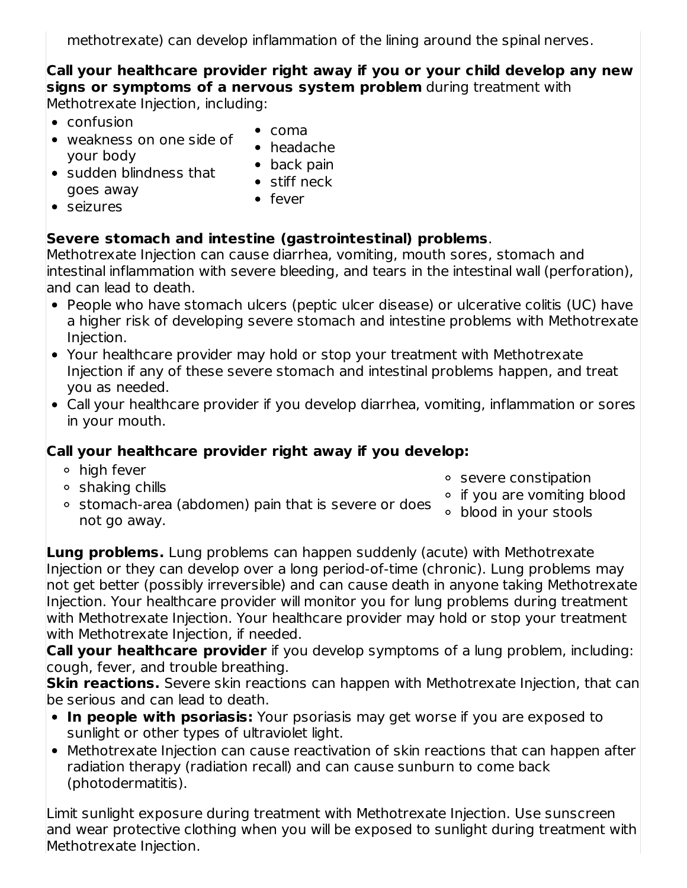methotrexate) can develop inflammation of the lining around the spinal nerves.

**Call your healthcare provider right away if you or your child develop any new signs or symptoms of a nervous system problem** during treatment with Methotrexate Injection, including:

- $\bullet$  confusion
- weakness on one side of your body
- coma
- headache • back pain
- sudden blindness that goes away
- stiff neck

seizures

• fever

## **Severe stomach and intestine (gastrointestinal) problems**.

Methotrexate Injection can cause diarrhea, vomiting, mouth sores, stomach and intestinal inflammation with severe bleeding, and tears in the intestinal wall (perforation), and can lead to death.

- People who have stomach ulcers (peptic ulcer disease) or ulcerative colitis (UC) have a higher risk of developing severe stomach and intestine problems with Methotrexate Injection.
- Your healthcare provider may hold or stop your treatment with Methotrexate Injection if any of these severe stomach and intestinal problems happen, and treat you as needed.
- Call your healthcare provider if you develop diarrhea, vomiting, inflammation or sores in your mouth.

## **Call your healthcare provider right away if you develop:**

- **o** high fever
- shaking chills
- severe constipation
- stomach-area (abdomen) pain that is severe or does not go away. o if you are vomiting blood blood in your stools

**Lung problems.** Lung problems can happen suddenly (acute) with Methotrexate Injection or they can develop over a long period-of-time (chronic). Lung problems may not get better (possibly irreversible) and can cause death in anyone taking Methotrexate Injection. Your healthcare provider will monitor you for lung problems during treatment with Methotrexate Injection. Your healthcare provider may hold or stop your treatment with Methotrexate Injection, if needed.

**Call your healthcare provider** if you develop symptoms of a lung problem, including: cough, fever, and trouble breathing.

**Skin reactions.** Severe skin reactions can happen with Methotrexate Injection, that can be serious and can lead to death.

- **In people with psoriasis:** Your psoriasis may get worse if you are exposed to sunlight or other types of ultraviolet light.
- Methotrexate Injection can cause reactivation of skin reactions that can happen after radiation therapy (radiation recall) and can cause sunburn to come back (photodermatitis).

Limit sunlight exposure during treatment with Methotrexate Injection. Use sunscreen and wear protective clothing when you will be exposed to sunlight during treatment with Methotrexate Injection.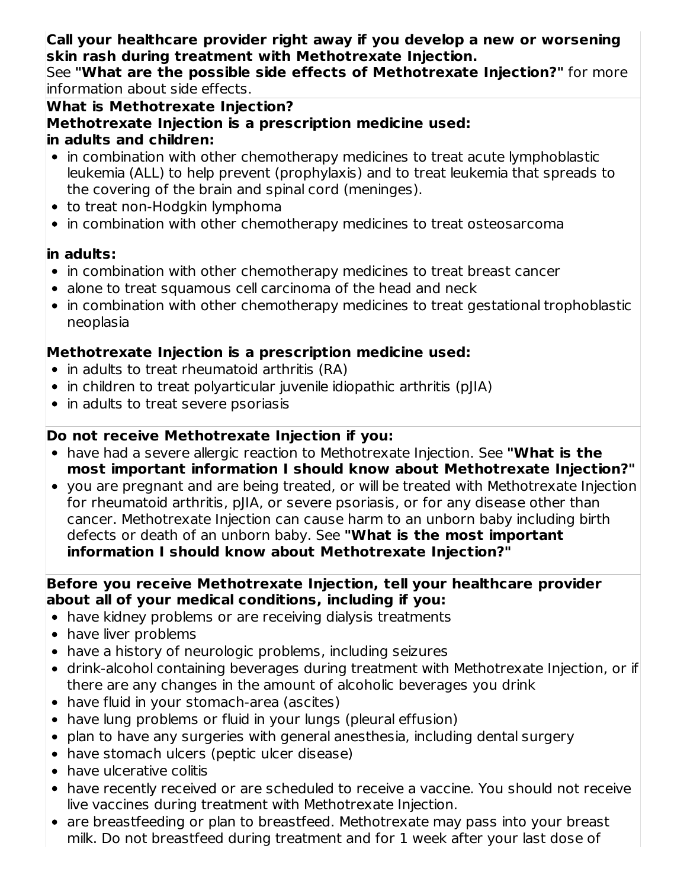**Call your healthcare provider right away if you develop a new or worsening skin rash during treatment with Methotrexate Injection.**

See **"What are the possible side effects of Methotrexate Injection?"** for more information about side effects.

**What is Methotrexate Injection?**

**Methotrexate Injection is a prescription medicine used:**

### **in adults and children:**

- in combination with other chemotherapy medicines to treat acute lymphoblastic leukemia (ALL) to help prevent (prophylaxis) and to treat leukemia that spreads to the covering of the brain and spinal cord (meninges).
- to treat non-Hodgkin lymphoma
- in combination with other chemotherapy medicines to treat osteosarcoma

## **in adults:**

- in combination with other chemotherapy medicines to treat breast cancer
- alone to treat squamous cell carcinoma of the head and neck
- in combination with other chemotherapy medicines to treat gestational trophoblastic neoplasia

## **Methotrexate Injection is a prescription medicine used:**

- in adults to treat rheumatoid arthritis (RA)
- in children to treat polyarticular juvenile idiopathic arthritis (pJIA)
- in adults to treat severe psoriasis

## **Do not receive Methotrexate Injection if you:**

- have had a severe allergic reaction to Methotrexate Injection. See **"What is the most important information I should know about Methotrexate Injection?"**
- you are pregnant and are being treated, or will be treated with Methotrexate Injection for rheumatoid arthritis, pJIA, or severe psoriasis, or for any disease other than cancer. Methotrexate Injection can cause harm to an unborn baby including birth defects or death of an unborn baby. See **"What is the most important information I should know about Methotrexate Injection?"**

### **Before you receive Methotrexate Injection, tell your healthcare provider about all of your medical conditions, including if you:**

- have kidney problems or are receiving dialysis treatments
- have liver problems
- have a history of neurologic problems, including seizures
- drink-alcohol containing beverages during treatment with Methotrexate Injection, or if there are any changes in the amount of alcoholic beverages you drink
- have fluid in your stomach-area (ascites)
- have lung problems or fluid in your lungs (pleural effusion)
- plan to have any surgeries with general anesthesia, including dental surgery
- have stomach ulcers (peptic ulcer disease)
- have ulcerative colitis
- have recently received or are scheduled to receive a vaccine. You should not receive live vaccines during treatment with Methotrexate Injection.
- are breastfeeding or plan to breastfeed. Methotrexate may pass into your breast milk. Do not breastfeed during treatment and for 1 week after your last dose of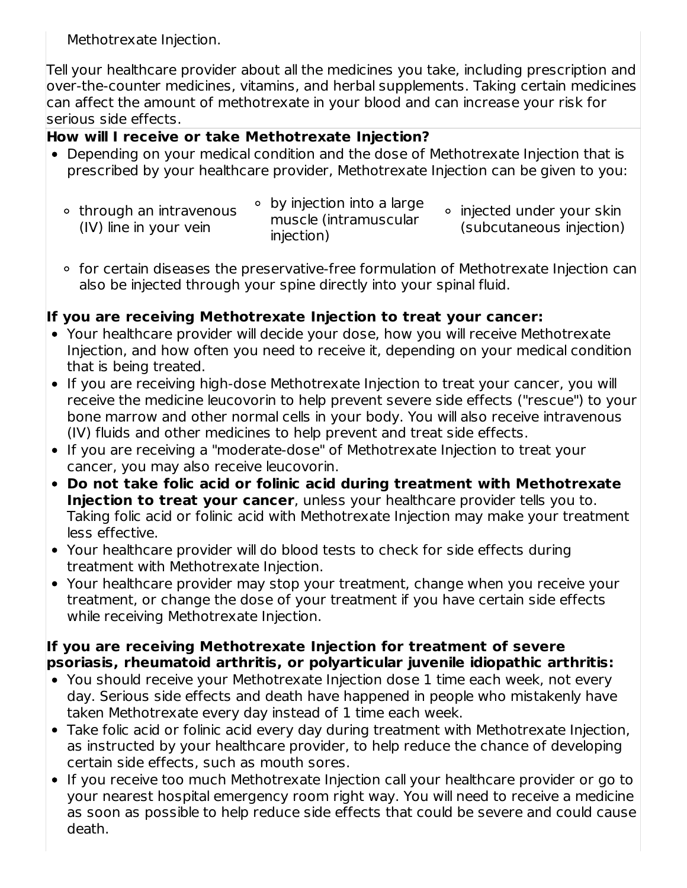Methotrexate Injection.

Tell your healthcare provider about all the medicines you take, including prescription and over-the-counter medicines, vitamins, and herbal supplements. Taking certain medicines can affect the amount of methotrexate in your blood and can increase your risk for serious side effects.

## **How will I receive or take Methotrexate Injection?**

- Depending on your medical condition and the dose of Methotrexate Injection that is prescribed by your healthcare provider, Methotrexate Injection can be given to you:
	- through an intravenous (IV) line in your vein by injection into a large muscle (intramuscular injection) o injected under your skin (subcutaneous injection)
	- for certain diseases the preservative-free formulation of Methotrexate Injection can also be injected through your spine directly into your spinal fluid.

## **If you are receiving Methotrexate Injection to treat your cancer:**

- Your healthcare provider will decide your dose, how you will receive Methotrexate Injection, and how often you need to receive it, depending on your medical condition that is being treated.
- If you are receiving high-dose Methotrexate Injection to treat your cancer, you will receive the medicine leucovorin to help prevent severe side effects ("rescue") to your bone marrow and other normal cells in your body. You will also receive intravenous (IV) fluids and other medicines to help prevent and treat side effects.
- If you are receiving a "moderate-dose" of Methotrexate Injection to treat your cancer, you may also receive leucovorin.
- **Do not take folic acid or folinic acid during treatment with Methotrexate Injection to treat your cancer**, unless your healthcare provider tells you to. Taking folic acid or folinic acid with Methotrexate Injection may make your treatment less effective.
- Your healthcare provider will do blood tests to check for side effects during treatment with Methotrexate Injection.
- Your healthcare provider may stop your treatment, change when you receive your treatment, or change the dose of your treatment if you have certain side effects while receiving Methotrexate Injection.

#### **If you are receiving Methotrexate Injection for treatment of severe psoriasis, rheumatoid arthritis, or polyarticular juvenile idiopathic arthritis:**

- You should receive your Methotrexate Injection dose 1 time each week, not every day. Serious side effects and death have happened in people who mistakenly have taken Methotrexate every day instead of 1 time each week.
- Take folic acid or folinic acid every day during treatment with Methotrexate Injection, as instructed by your healthcare provider, to help reduce the chance of developing certain side effects, such as mouth sores.
- If you receive too much Methotrexate Injection call your healthcare provider or go to your nearest hospital emergency room right way. You will need to receive a medicine as soon as possible to help reduce side effects that could be severe and could cause death.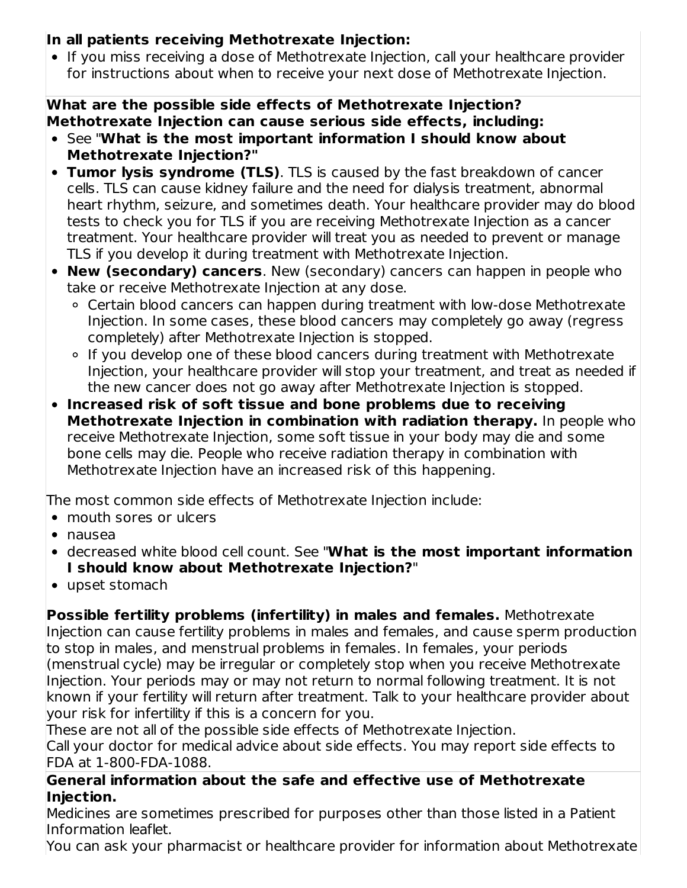## **In all patients receiving Methotrexate Injection:**

• If you miss receiving a dose of Methotrexate Injection, call your healthcare provider for instructions about when to receive your next dose of Methotrexate Injection.

### **What are the possible side effects of Methotrexate Injection? Methotrexate Injection can cause serious side effects, including:**

- See "**What is the most important information I should know about Methotrexate Injection?"**
- **Tumor lysis syndrome (TLS)**. TLS is caused by the fast breakdown of cancer cells. TLS can cause kidney failure and the need for dialysis treatment, abnormal heart rhythm, seizure, and sometimes death. Your healthcare provider may do blood tests to check you for TLS if you are receiving Methotrexate Injection as a cancer treatment. Your healthcare provider will treat you as needed to prevent or manage TLS if you develop it during treatment with Methotrexate Injection.
- **New (secondary) cancers**. New (secondary) cancers can happen in people who take or receive Methotrexate Injection at any dose.
	- Certain blood cancers can happen during treatment with low-dose Methotrexate Injection. In some cases, these blood cancers may completely go away (regress completely) after Methotrexate Injection is stopped.
	- If you develop one of these blood cancers during treatment with Methotrexate Injection, your healthcare provider will stop your treatment, and treat as needed if the new cancer does not go away after Methotrexate Injection is stopped.
- **Increased risk of soft tissue and bone problems due to receiving Methotrexate Injection in combination with radiation therapy.** In people who receive Methotrexate Injection, some soft tissue in your body may die and some bone cells may die. People who receive radiation therapy in combination with Methotrexate Injection have an increased risk of this happening.

The most common side effects of Methotrexate Injection include:

- mouth sores or ulcers
- nausea
- decreased white blood cell count. See "**What is the most important information I should know about Methotrexate Injection?**"
- upset stomach

**Possible fertility problems (infertility) in males and females.** Methotrexate Injection can cause fertility problems in males and females, and cause sperm production to stop in males, and menstrual problems in females. In females, your periods (menstrual cycle) may be irregular or completely stop when you receive Methotrexate Injection. Your periods may or may not return to normal following treatment. It is not known if your fertility will return after treatment. Talk to your healthcare provider about your risk for infertility if this is a concern for you.

These are not all of the possible side effects of Methotrexate Injection. Call your doctor for medical advice about side effects. You may report side effects to FDA at 1-800-FDA-1088.

## **General information about the safe and effective use of Methotrexate Injection.**

Medicines are sometimes prescribed for purposes other than those listed in a Patient Information leaflet.

You can ask your pharmacist or healthcare provider for information about Methotrexate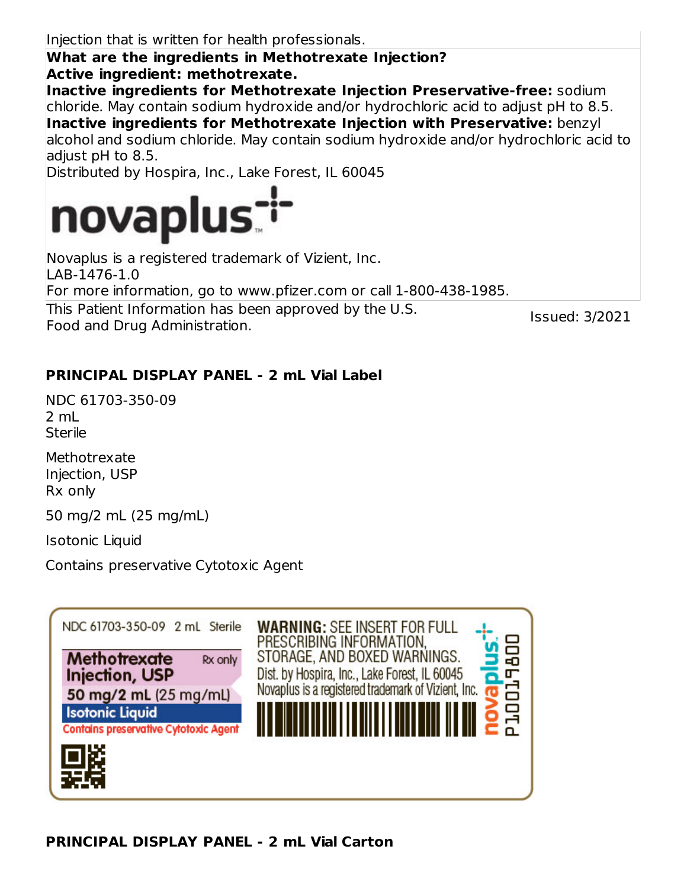Injection that is written for health professionals.

**What are the ingredients in Methotrexate Injection? Active ingredient: methotrexate.**

**Inactive ingredients for Methotrexate Injection Preservative-free:** sodium chloride. May contain sodium hydroxide and/or hydrochloric acid to adjust pH to 8.5. **Inactive ingredients for Methotrexate Injection with Preservative:** benzyl alcohol and sodium chloride. May contain sodium hydroxide and/or hydrochloric acid to adiust pH to 8.5.

Distributed by Hospira, Inc., Lake Forest, IL 60045



Food and Drug Administration.

This Patient Information has been approved by the U.S. Novaplus is a registered trademark of Vizient, Inc.  $|$ I AB-1476-1.0 For more information, go to www.pfizer.com or call 1-800-438-1985.

Issued: 3/2021

## **PRINCIPAL DISPLAY PANEL - 2 mL Vial Label**

NDC 61703-350-09  $2 \text{ ml}$ **Sterile** 

**Methotrexate** Injection, USP Rx only

50 mg/2 mL (25 mg/mL)

Isotonic Liquid

Contains preservative Cytotoxic Agent

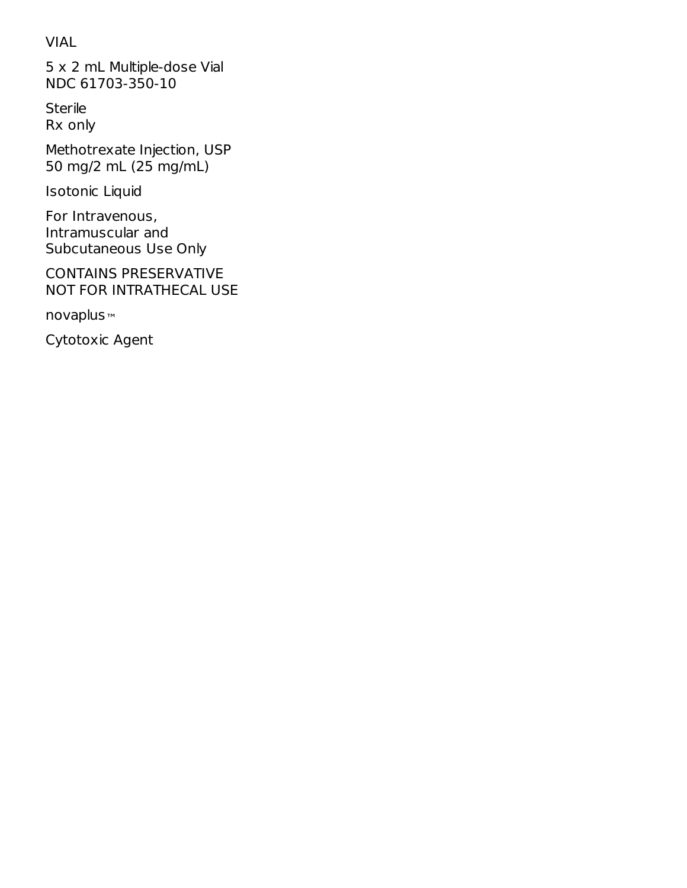## VIAL

5 x 2 mL Multiple-dose Vial NDC 61703-350-10

**Sterile** Rx only

Methotrexate Injection, USP 50 mg/2 mL (25 mg/mL)

Isotonic Liquid

For Intravenous, Intramuscular and Subcutaneous Use Only

CONTAINS PRESERVATIVE NOT FOR INTRATHECAL USE

novaplus ™

Cytotoxic Agent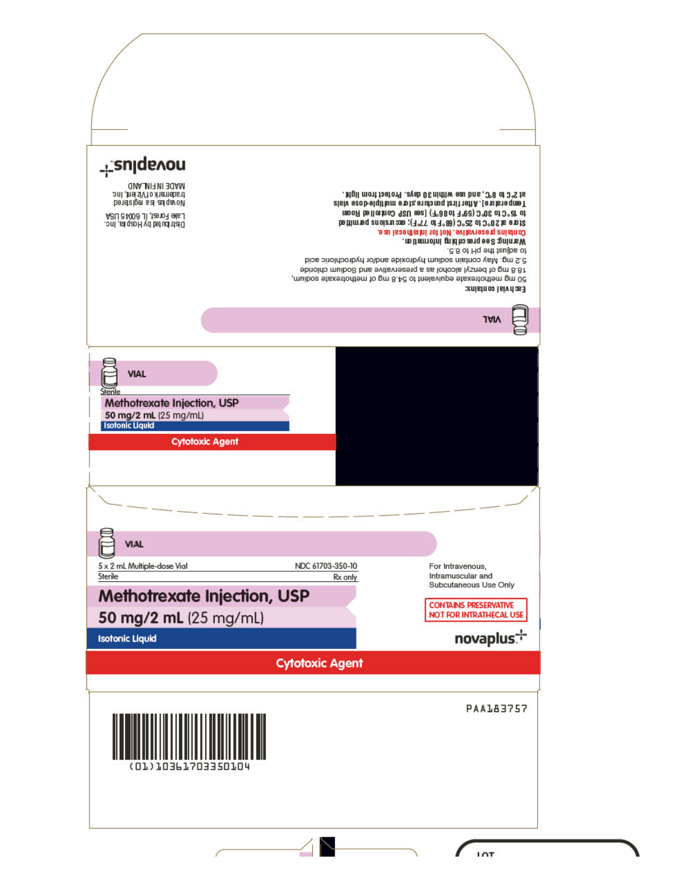| - sulquyon<br>MADE IN FINLAMD<br>trademark of Vizion, Inc.<br>be retaiger and quo out<br>Lake Forest, IL 6004 5 USA<br>Distributed by Hospira, Inc. |                             | . Mgil mont taetory .eveb OS nintiw eau bns, 3°8 of 3°S ts<br>zisiv ezob elqitilum enota, enutanuq tanit nett A . [enutane qmeT<br>mooR bellon/no.0 98U eeg (7° 38 of 7° 98) 0° 30 80 51 96<br>Store at 20°C to 25°C (68°F to 77°F); excursions permitted<br>Gontains preservative. Not for intrathecal use.<br>. no item othi gnid ha as ng ee 2 gnin ns W<br>.c.8 of Hq ent faulbs of<br>5.2 mg. May contain sodium hydroxide and/or hydrochloric acid<br>sbinolrlo muiboß bris svitisvneseng is as lorloolis lyzned to gm 8.81<br>, muibos staxeitodtem to gm 8.4d of tnelsviupe staxeitodtem gm 0d |
|-----------------------------------------------------------------------------------------------------------------------------------------------------|-----------------------------|--------------------------------------------------------------------------------------------------------------------------------------------------------------------------------------------------------------------------------------------------------------------------------------------------------------------------------------------------------------------------------------------------------------------------------------------------------------------------------------------------------------------------------------------------------------------------------------------------------|
|                                                                                                                                                     |                             | Each vial contains:<br><b>14N</b>                                                                                                                                                                                                                                                                                                                                                                                                                                                                                                                                                                      |
| <b>VIAL</b><br>Sterile<br>Methotrexate Injection, USP<br>50 mg/2 mL (25 mg/mL)<br>Isotonic Liquid<br><b>Cytotoxic Agent</b>                         |                             |                                                                                                                                                                                                                                                                                                                                                                                                                                                                                                                                                                                                        |
|                                                                                                                                                     |                             |                                                                                                                                                                                                                                                                                                                                                                                                                                                                                                                                                                                                        |
| <b>VIAL</b>                                                                                                                                         |                             |                                                                                                                                                                                                                                                                                                                                                                                                                                                                                                                                                                                                        |
| 5 x 2 mL Multiple-dose Vial<br>Sterile                                                                                                              | NDC 61703-350-10<br>Rx only | For Intravenous,<br>Intramuscular and                                                                                                                                                                                                                                                                                                                                                                                                                                                                                                                                                                  |
| <b>Methotrexate Injection, USP</b>                                                                                                                  |                             | Subcutaneous Use Only<br><b>CONTAINS PRESERVATIVE</b>                                                                                                                                                                                                                                                                                                                                                                                                                                                                                                                                                  |
| 50 mg/2 mL (25 mg/mL)                                                                                                                               |                             | <b>NOT FOR INTRATHECAL USE</b>                                                                                                                                                                                                                                                                                                                                                                                                                                                                                                                                                                         |
| <b>Isotonic Liquid</b>                                                                                                                              |                             | novaplus:                                                                                                                                                                                                                                                                                                                                                                                                                                                                                                                                                                                              |
|                                                                                                                                                     | <b>Cytotoxic Agent</b>      |                                                                                                                                                                                                                                                                                                                                                                                                                                                                                                                                                                                                        |
| 3662033                                                                                                                                             |                             | PAA183757                                                                                                                                                                                                                                                                                                                                                                                                                                                                                                                                                                                              |
|                                                                                                                                                     |                             | IAT                                                                                                                                                                                                                                                                                                                                                                                                                                                                                                                                                                                                    |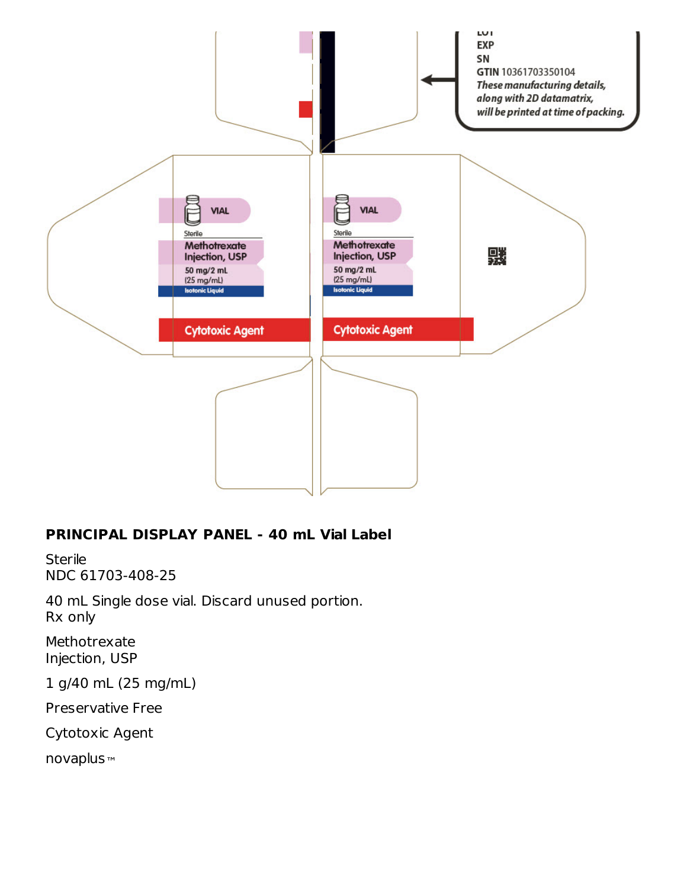

### **PRINCIPAL DISPLAY PANEL - 40 mL Vial Label**

**Sterile** NDC 61703-408-25

40 mL Single dose vial. Discard unused portion. Rx only

Methotrexate Injection, USP

1 g/40 mL (25 mg/mL)

Preservative Free

Cytotoxic Agent

novaplus™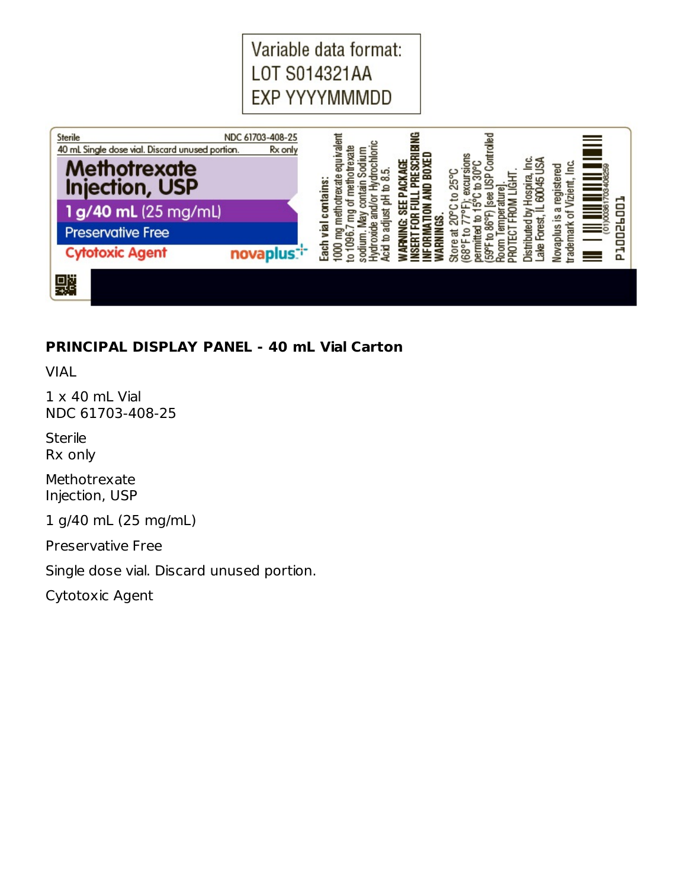Variable data format: LOT S014321AA EXP YYYYMMMDD



### **PRINCIPAL DISPLAY PANEL - 40 mL Vial Carton**

VIAL

 $1 \times 40$  mL Vial NDC 61703-408-25

**Sterile** Rx only

Methotrexate Injection, USP

1 g/40 mL (25 mg/mL)

Preservative Free

Single dose vial. Discard unused portion.

Cytotoxic Agent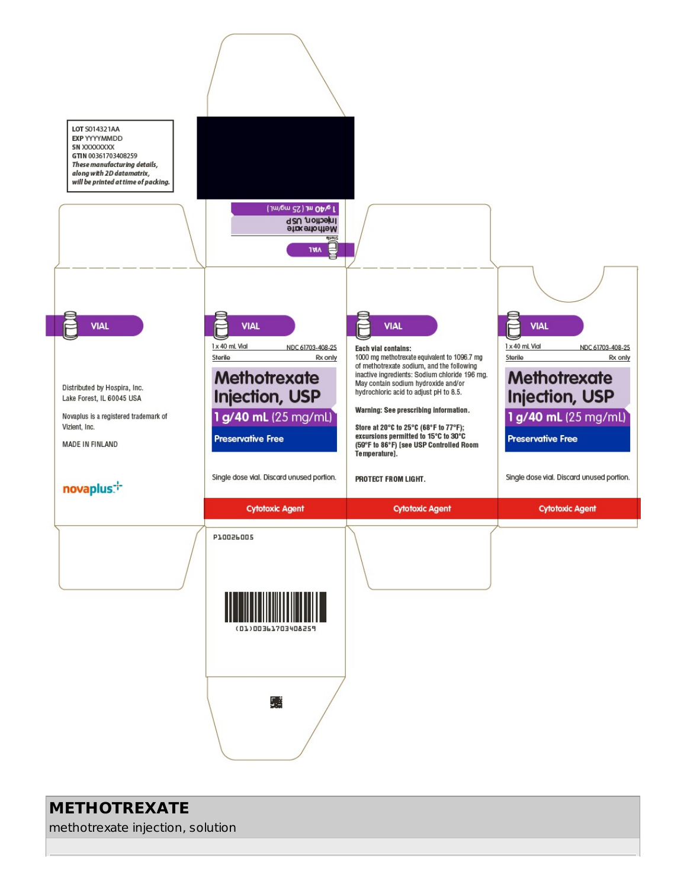

# **METHOTREXATE**

methotrexate injection, solution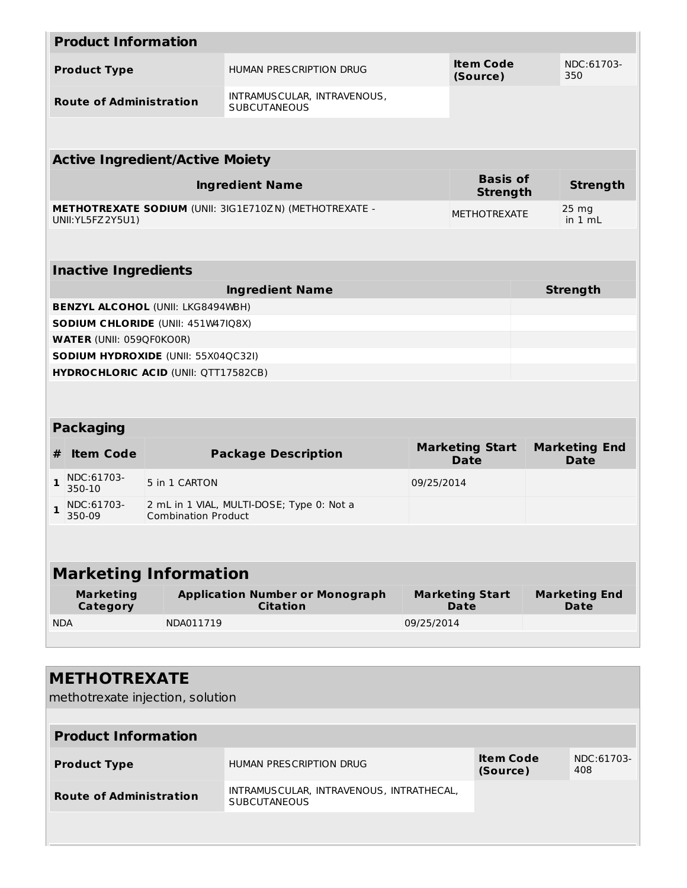|                     | <b>Product Information</b>      |                                             |                                                               |            |                                       |                                     |
|---------------------|---------------------------------|---------------------------------------------|---------------------------------------------------------------|------------|---------------------------------------|-------------------------------------|
| <b>Product Type</b> |                                 |                                             | HUMAN PRESCRIPTION DRUG                                       |            | Item Code<br>(Source)                 | NDC:61703-<br>350                   |
|                     | <b>Route of Administration</b>  |                                             | INTRAMUSCULAR, INTRAVENOUS,<br><b>SUBCUTANEOUS</b>            |            |                                       |                                     |
|                     |                                 |                                             |                                                               |            |                                       |                                     |
|                     |                                 | <b>Active Ingredient/Active Moiety</b>      |                                                               |            |                                       |                                     |
|                     |                                 |                                             | <b>Ingredient Name</b>                                        |            | <b>Basis of</b><br><b>Strength</b>    | <b>Strength</b>                     |
|                     | UNII: YL5FZ 2Y5U1)              |                                             | <b>METHOTREXATE SODIUM (UNII: 3IG1E710ZN) (METHOTREXATE -</b> |            | <b>METHOTREXATE</b>                   | $25 \text{ mg}$<br>in 1 mL          |
|                     |                                 |                                             |                                                               |            |                                       |                                     |
|                     | <b>Inactive Ingredients</b>     |                                             |                                                               |            |                                       |                                     |
|                     |                                 |                                             | <b>Ingredient Name</b>                                        |            |                                       | <b>Strength</b>                     |
|                     |                                 | <b>BENZYL ALCOHOL (UNII: LKG8494WBH)</b>    |                                                               |            |                                       |                                     |
|                     |                                 | <b>SODIUM CHLORIDE (UNII: 451W47IQ8X)</b>   |                                                               |            |                                       |                                     |
|                     | <b>WATER (UNII: 059QF0KO0R)</b> |                                             |                                                               |            |                                       |                                     |
|                     |                                 | <b>SODIUM HYDROXIDE (UNII: 55X04QC32I)</b>  |                                                               |            |                                       |                                     |
|                     |                                 | <b>HYDROCHLORIC ACID (UNII: QTT17582CB)</b> |                                                               |            |                                       |                                     |
|                     |                                 |                                             |                                                               |            |                                       |                                     |
|                     |                                 |                                             |                                                               |            |                                       |                                     |
|                     | <b>Packaging</b>                |                                             |                                                               |            |                                       |                                     |
| #                   | <b>Item Code</b>                |                                             | <b>Package Description</b>                                    |            | <b>Marketing Start</b><br><b>Date</b> | <b>Marketing End</b><br><b>Date</b> |
| 1                   | NDC:61703-<br>350-10            | 5 in 1 CARTON                               |                                                               | 09/25/2014 |                                       |                                     |
| 1                   | NDC:61703-<br>350-09            | <b>Combination Product</b>                  | 2 mL in 1 VIAL, MULTI-DOSE; Type 0: Not a                     |            |                                       |                                     |
|                     |                                 |                                             |                                                               |            |                                       |                                     |
|                     |                                 | <b>Marketing Information</b>                |                                                               |            |                                       |                                     |
|                     | <b>Marketing</b><br>Category    |                                             | <b>Application Number or Monograph</b><br><b>Citation</b>     |            | <b>Marketing Start</b><br><b>Date</b> | <b>Marketing End</b><br>Date        |
| <b>NDA</b>          |                                 | NDA011719                                   |                                                               | 09/25/2014 |                                       |                                     |
|                     |                                 |                                             |                                                               |            |                                       |                                     |
|                     |                                 |                                             |                                                               |            |                                       |                                     |
|                     | <b>METHOTREXATE</b>             |                                             |                                                               |            |                                       |                                     |
|                     |                                 | methotrexate injection, solution            |                                                               |            |                                       |                                     |
|                     |                                 |                                             |                                                               |            |                                       |                                     |

| <b>Product Information</b>     |                                                                 |                              |                   |  |  |
|--------------------------------|-----------------------------------------------------------------|------------------------------|-------------------|--|--|
| <b>Product Type</b>            | HUMAN PRESCRIPTION DRUG                                         | <b>Item Code</b><br>(Source) | NDC:61703-<br>408 |  |  |
| <b>Route of Administration</b> | INTRAMUSCULAR, INTRAVENOUS, INTRATHECAL,<br><b>SUBCUTANEOUS</b> |                              |                   |  |  |
|                                |                                                                 |                              |                   |  |  |